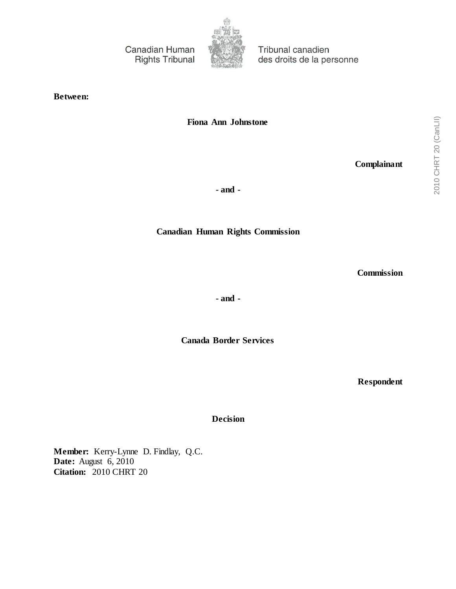Canadian Human **Rights Tribunal** 



Tribunal canadien des droits de la personne

**Between:**

**Fiona Ann Johnstone**

**Complainant**

**- and -**

**Canadian Human Rights Commission**

**Commission**

**- and -**

**Canada Border Services**

**Respondent**

**Decision**

**Member:** Kerry-Lynne D. Findlay, Q.C. **Date:** August 6, 2010 **Citation:** 2010 CHRT 20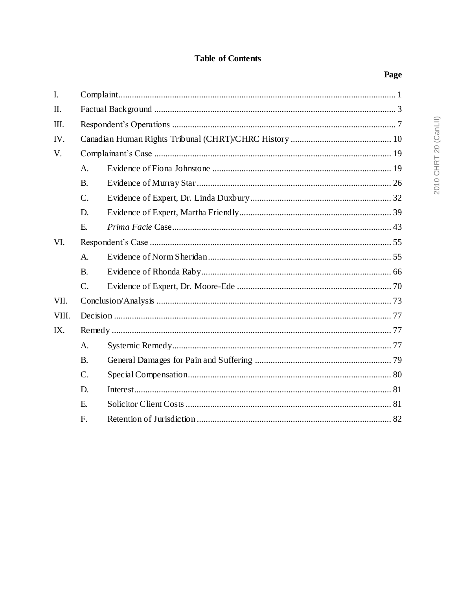# **Table of Contents**

|--|

| $\overline{I}$ . |             |  |  |  |
|------------------|-------------|--|--|--|
| Π.               |             |  |  |  |
| Ш.               |             |  |  |  |
| IV.              |             |  |  |  |
| V.               |             |  |  |  |
|                  | $A_{\cdot}$ |  |  |  |
|                  | <b>B.</b>   |  |  |  |
|                  | $C$ .       |  |  |  |
|                  | D.          |  |  |  |
|                  | E.          |  |  |  |
| VI.              |             |  |  |  |
|                  | A.          |  |  |  |
|                  | <b>B.</b>   |  |  |  |
|                  | $C$ .       |  |  |  |
| VII.             |             |  |  |  |
| VIII.            |             |  |  |  |
| IX.              |             |  |  |  |
|                  | $A_{\cdot}$ |  |  |  |
|                  | <b>B.</b>   |  |  |  |
|                  | $C$ .       |  |  |  |
|                  | D.          |  |  |  |
|                  | E.          |  |  |  |
|                  | F.          |  |  |  |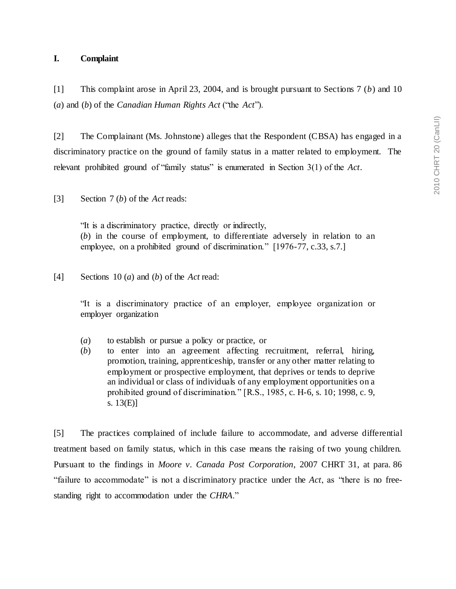## <span id="page-2-0"></span>**I. Complaint**

[1] This complaint arose in April 23, 2004, and is brought pursuant to Sections 7 (*b*) and 10 (*a*) and (*b*) of the *Canadian Human Rights Act* ("the *Act*").

[2] The Complainant (Ms. Johnstone) alleges that the Respondent (CBSA) has engaged in a discriminatory practice on the ground of family status in a matter related to employment. The relevant prohibited ground of "family status" is enumerated in Section 3(1) of the *Act*.

[3] Section 7 (*b*) of the *Act* reads:

"It is a discriminatory practice, directly or indirectly, (*b*) in the course of employment, to differentiate adversely in relation to an employee, on a prohibited ground of discrimination." [1976-77, c.33, s.7.]

[4] Sections 10 (*a*) and (*b*) of the *Act* read:

"It is a discriminatory practice of an employer, employee organization or employer organization

- (*a*) to establish or pursue a policy or practice, or
- (*b*) to enter into an agreement affecting recruitment, referral, hiring, promotion, training, apprenticeship, transfer or any other matter relating to employment or prospective employment, that deprives or tends to deprive an individual or class of individuals of any employment opportunities on a prohibited ground of discrimination." [R.S., 1985, c. H-6, s. 10; 1998, c. 9, s. 13(E)]

[5] The practices complained of include failure to accommodate, and adverse differential treatment based on family status, which in this case means the raising of two young children. Pursuant to the findings in *Moore v. Canada Post Corporation*, 2007 CHRT 31, at para. 86 "failure to accommodate" is not a discriminatory practice under the *Act*, as "there is no freestanding right to accommodation under the *CHRA*."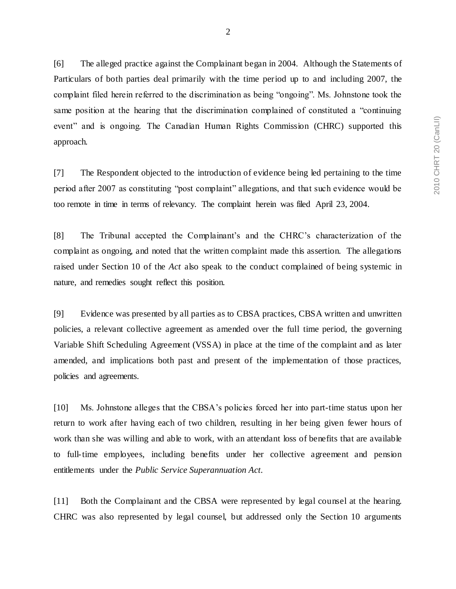[6] The alleged practice against the Complainant began in 2004. Although the Statements of Particulars of both parties deal primarily with the time period up to and including 2007, the complaint filed herein referred to the discrimination as being "ongoing". Ms. Johnstone took the same position at the hearing that the discrimination complained of constituted a "continuing event" and is ongoing. The Canadian Human Rights Commission (CHRC) supported this approach.

[7] The Respondent objected to the introduction of evidence being led pertaining to the time period after 2007 as constituting "post complaint" allegations, and that such evidence would be too remote in time in terms of relevancy. The complaint herein was filed April 23, 2004.

[8] The Tribunal accepted the Complainant's and the CHRC's characterization of the complaint as ongoing, and noted that the written complaint made this assertion. The allegations raised under Section 10 of the *Act* also speak to the conduct complained of being systemic in nature, and remedies sought reflect this position.

[9] Evidence was presented by all parties as to CBSA practices, CBSA written and unwritten policies, a relevant collective agreement as amended over the full time period, the governing Variable Shift Scheduling Agreement (VSSA) in place at the time of the complaint and as later amended, and implications both past and present of the implementation of those practices, policies and agreements.

[10] Ms. Johnstone alleges that the CBSA's policies forced her into part-time status upon her return to work after having each of two children, resulting in her being given fewer hours of work than she was willing and able to work, with an attendant loss of benefits that are available to full-time employees, including benefits under her collective agreement and pension entitlements under the *Public Service Superannuation Act.*

[11] Both the Complainant and the CBSA were represented by legal counsel at the hearing. CHRC was also represented by legal counsel, but addressed only the Section 10 arguments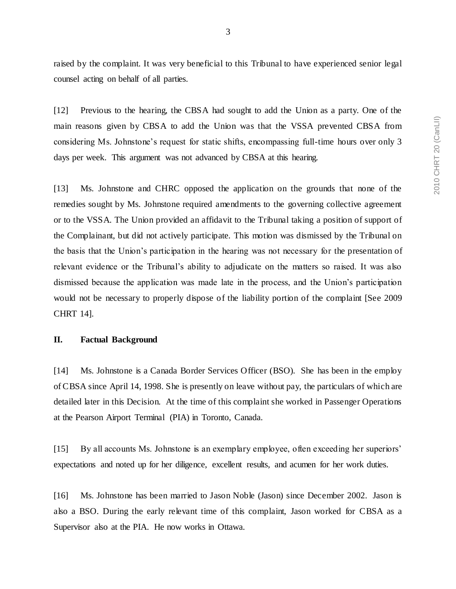raised by the complaint. It was very beneficial to this Tribunal to have experienced senior legal counsel acting on behalf of all parties.

[12] Previous to the hearing, the CBSA had sought to add the Union as a party. One of the main reasons given by CBSA to add the Union was that the VSSA prevented CBSA from considering Ms. Johnstone's request for static shifts, encompassing full-time hours over only 3 days per week. This argument was not advanced by CBSA at this hearing.

[13] Ms. Johnstone and CHRC opposed the application on the grounds that none of the remedies sought by Ms. Johnstone required amendments to the governing collective agreement or to the VSSA. The Union provided an affidavit to the Tribunal taking a position of support of the Complainant, but did not actively participate. This motion was dismissed by the Tribunal on the basis that the Union's participation in the hearing was not necessary for the presentation of relevant evidence or the Tribunal's ability to adjudicate on the matters so raised. It was also dismissed because the application was made late in the process, and the Union's participation would not be necessary to properly dispose of the liability portion of the complaint [See 2009 CHRT 14].

## <span id="page-4-0"></span>**II. Factual Background**

[14] Ms. Johnstone is a Canada Border Services Officer (BSO). She has been in the employ of CBSA since April 14, 1998. She is presently on leave without pay, the particulars of which are detailed later in this Decision. At the time of this complaint she worked in Passenger Operations at the Pearson Airport Terminal (PIA) in Toronto, Canada.

[15] By all accounts Ms. Johnstone is an exemplary employee, often exceeding her superiors' expectations and noted up for her diligence, excellent results, and acumen for her work duties.

[16] Ms. Johnstone has been married to Jason Noble (Jason) since December 2002. Jason is also a BSO. During the early relevant time of this complaint, Jason worked for CBSA as a Supervisor also at the PIA. He now works in Ottawa.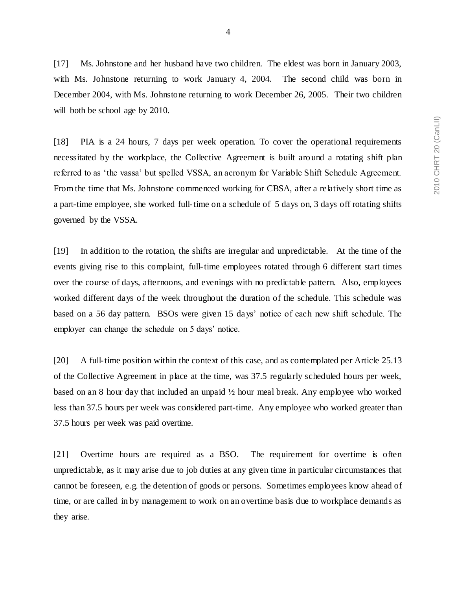[17] Ms. Johnstone and her husband have two children. The eldest was born in January 2003, with Ms. Johnstone returning to work January 4, 2004. The second child was born in December 2004, with Ms. Johnstone returning to work December 26, 2005. Their two children will both be school age by 2010*.* 

[18] PIA is a 24 hours, 7 days per week operation. To cover the operational requirements necessitated by the workplace, the Collective Agreement is built around a rotating shift plan referred to as 'the vassa' but spelled VSSA, an acronym for Variable Shift Schedule Agreement. From the time that Ms. Johnstone commenced working for CBSA, after a relatively short time as a part-time employee, she worked full-time on a schedule of 5 days on, 3 days off rotating shifts governed by the VSSA.

[19] In addition to the rotation, the shifts are irregular and unpredictable. At the time of the events giving rise to this complaint, full-time employees rotated through 6 different start times over the course of days, afternoons, and evenings with no predictable pattern. Also, employees worked different days of the week throughout the duration of the schedule. This schedule was based on a 56 day pattern. BSOs were given 15 days' notice of each new shift schedule. The employer can change the schedule on 5 days' notice.

[20] A full-time position within the context of this case, and as contemplated per Article 25.13 of the Collective Agreement in place at the time, was 37.5 regularly scheduled hours per week, based on an 8 hour day that included an unpaid ½ hour meal break. Any employee who worked less than 37.5 hours per week was considered part-time. Any employee who worked greater than 37.5 hours per week was paid overtime.

[21] Overtime hours are required as a BSO. The requirement for overtime is often unpredictable, as it may arise due to job duties at any given time in particular circumstances that cannot be foreseen, e.g. the detention of goods or persons. Sometimes employees know ahead of time, or are called in by management to work on an overtime basis due to workplace demands as they arise.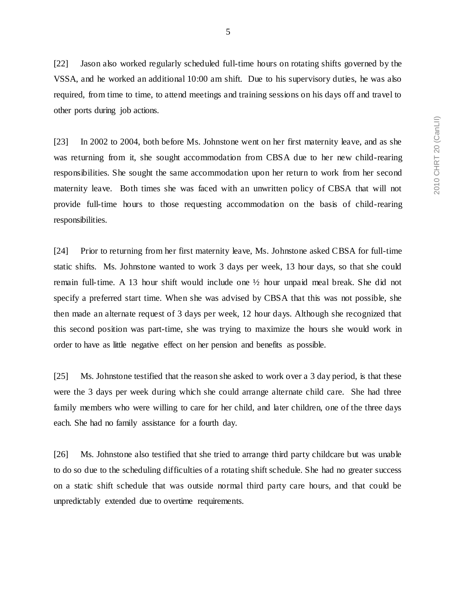[22] Jason also worked regularly scheduled full-time hours on rotating shifts governed by the VSSA, and he worked an additional 10:00 am shift. Due to his supervisory duties, he was also required, from time to time, to attend meetings and training sessions on his days off and travel to other ports during job actions.

[23] In 2002 to 2004, both before Ms. Johnstone went on her first maternity leave, and as she was returning from it, she sought accommodation from CBSA due to her new child-rearing responsibilities. She sought the same accommodation upon her return to work from her second maternity leave. Both times she was faced with an unwritten policy of CBSA that will not provide full-time hours to those requesting accommodation on the basis of child-rearing responsibilities.

[24] Prior to returning from her first maternity leave, Ms. Johnstone asked CBSA for full-time static shifts. Ms. Johnstone wanted to work 3 days per week, 13 hour days, so that she could remain full-time. A 13 hour shift would include one ½ hour unpaid meal break. She did not specify a preferred start time. When she was advised by CBSA that this was not possible, she then made an alternate request of 3 days per week, 12 hour days. Although she recognized that this second position was part-time, she was trying to maximize the hours she would work in order to have as little negative effect on her pension and benefits as possible.

[25] Ms. Johnstone testified that the reason she asked to work over a 3 day period, is that these were the 3 days per week during which she could arrange alternate child care. She had three family members who were willing to care for her child, and later children, one of the three days each. She had no family assistance for a fourth day.

[26] Ms. Johnstone also testified that she tried to arrange third party childcare but was unable to do so due to the scheduling difficulties of a rotating shift schedule. She had no greater success on a static shift schedule that was outside normal third party care hours, and that could be unpredictably extended due to overtime requirements.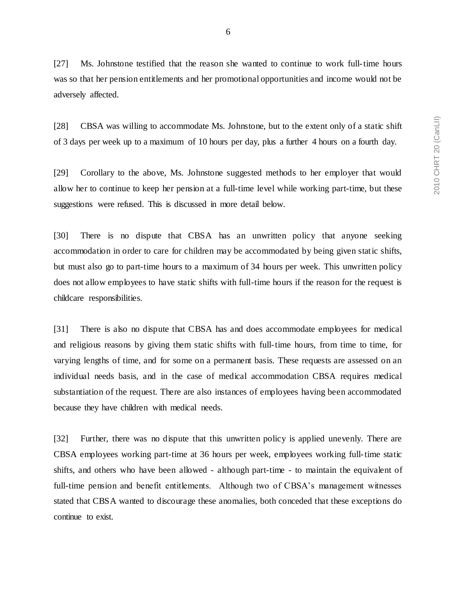[27] Ms. Johnstone testified that the reason she wanted to continue to work full-time hours was so that her pension entitlements and her promotional opportunities and income would not be adversely affected.

[28] CBSA was willing to accommodate Ms. Johnstone, but to the extent only of a static shift of 3 days per week up to a maximum of 10 hours per day, plus a further 4 hours on a fourth day.

[29] Corollary to the above, Ms. Johnstone suggested methods to her employer that would allow her to continue to keep her pension at a full-time level while working part-time, but these suggestions were refused. This is discussed in more detail below.

[30] There is no dispute that CBSA has an unwritten policy that anyone seeking accommodation in order to care for children may be accommodated by being given static shifts, but must also go to part-time hours to a maximum of 34 hours per week. This unwritten policy does not allow employees to have static shifts with full-time hours if the reason for the request is childcare responsibilities.

[31] There is also no dispute that CBSA has and does accommodate employees for medical and religious reasons by giving them static shifts with full-time hours, from time to time, for varying lengths of time, and for some on a permanent basis. These requests are assessed on an individual needs basis, and in the case of medical accommodation CBSA requires medical substantiation of the request. There are also instances of employees having been accommodated because they have children with medical needs.

[32] Further, there was no dispute that this unwritten policy is applied unevenly. There are CBSA employees working part-time at 36 hours per week, employees working full-time static shifts, and others who have been allowed - although part-time - to maintain the equivalent of full-time pension and benefit entitlements. Although two of CBSA's management witnesses stated that CBSA wanted to discourage these anomalies, both conceded that these exceptions do continue to exist.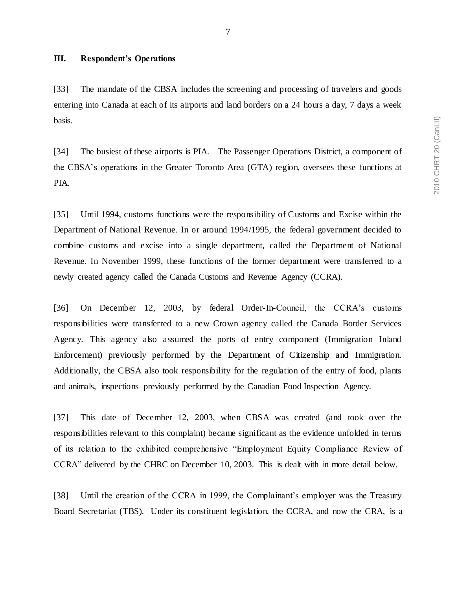#### <span id="page-8-0"></span>**III. Respondent's Operations**

[33] The mandate of the CBSA includes the screening and processing of travelers and goods entering into Canada at each of its airports and land borders on a 24 hours a day, 7 days a week basis.

[34] The busiest of these airports is PIA. The Passenger Operations District, a component of the CBSA's operations in the Greater Toronto Area (GTA) region, oversees these functions at PIA.

[35] Until 1994, customs functions were the responsibility of Customs and Excise within the Department of National Revenue. In or around 1994/1995, the federal government decided to combine customs and excise into a single department, called the Department of National Revenue. In November 1999, these functions of the former department were transferred to a newly created agency called the Canada Customs and Revenue Agency (CCRA).

[36] On December 12, 2003, by federal Order-In-Council, the CCRA's customs responsibilities were transferred to a new Crown agency called the Canada Border Services Agency. This agency also assumed the ports of entry component (Immigration Inland Enforcement) previously performed by the Department of Citizenship and Immigration. Additionally, the CBSA also took responsibility for the regulation of the entry of food, plants and animals, inspections previously performed by the Canadian Food Inspection Agency.

[37] This date of December 12, 2003, when CBSA was created (and took over the responsibilities relevant to this complaint) became significant as the evidence unfolded in terms of its relation to the exhibited comprehensive "Employment Equity Compliance Review of CCRA" delivered by the CHRC on December 10, 2003. This is dealt with in more detail below.

[38] Until the creation of the CCRA in 1999, the Complainant's employer was the Treasury Board Secretariat (TBS). Under its constituent legislation, the CCRA, and now the CRA, is a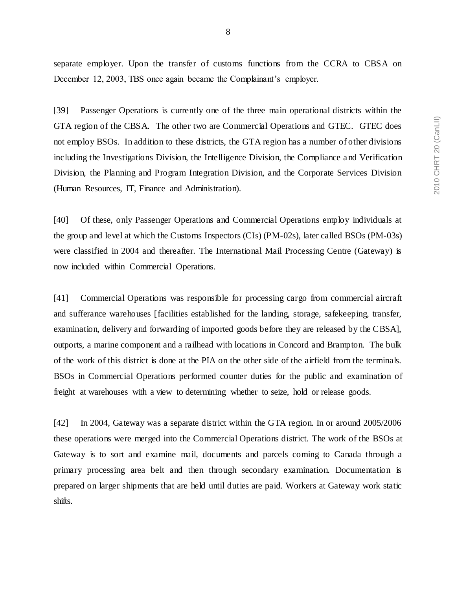separate employer. Upon the transfer of customs functions from the CCRA to CBSA on December 12, 2003, TBS once again became the Complainant's employer.

[39] Passenger Operations is currently one of the three main operational districts within the GTA region of the CBSA. The other two are Commercial Operations and GTEC. GTEC does not employ BSOs. In addition to these districts, the GTA region has a number of other divisions including the Investigations Division, the Intelligence Division, the Compliance and Verification Division, the Planning and Program Integration Division, and the Corporate Services Division (Human Resources, IT, Finance and Administration).

[40] Of these, only Passenger Operations and Commercial Operations employ individuals at the group and level at which the Customs Inspectors (CIs) (PM-02s), later called BSOs (PM-03s) were classified in 2004 and thereafter. The International Mail Processing Centre (Gateway) is now included within Commercial Operations.

[41] Commercial Operations was responsible for processing cargo from commercial aircraft and sufferance warehouses [facilities established for the landing, storage, safekeeping, transfer, examination, delivery and forwarding of imported goods before they are released by the CBSA], outports, a marine component and a railhead with locations in Concord and Brampton. The bulk of the work of this district is done at the PIA on the other side of the airfield from the terminals. BSOs in Commercial Operations performed counter duties for the public and examination of freight at warehouses with a view to determining whether to seize, hold or release goods.

[42] In 2004, Gateway was a separate district within the GTA region. In or around 2005/2006 these operations were merged into the Commercial Operations district. The work of the BSOs at Gateway is to sort and examine mail, documents and parcels coming to Canada through a primary processing area belt and then through secondary examination. Documentation is prepared on larger shipments that are held until duties are paid. Workers at Gateway work static shifts.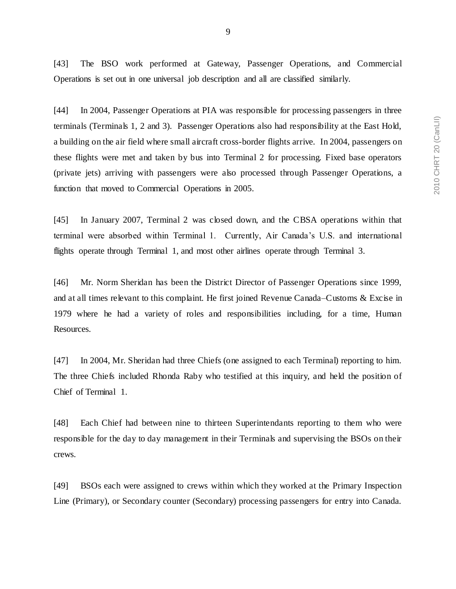[43] The BSO work performed at Gateway, Passenger Operations, and Commercial Operations is set out in one universal job description and all are classified similarly.

[44] In 2004, Passenger Operations at PIA was responsible for processing passengers in three terminals (Terminals 1, 2 and 3). Passenger Operations also had responsibility at the East Hold, a building on the air field where small aircraft cross-border flights arrive. In 2004, passengers on these flights were met and taken by bus into Terminal 2 for processing. Fixed base operators (private jets) arriving with passengers were also processed through Passenger Operations, a function that moved to Commercial Operations in 2005.

[45] In January 2007, Terminal 2 was closed down, and the CBSA operations within that terminal were absorbed within Terminal 1. Currently, Air Canada's U.S. and international flights operate through Terminal 1, and most other airlines operate through Terminal 3.

[46] Mr. Norm Sheridan has been the District Director of Passenger Operations since 1999, and at all times relevant to this complaint. He first joined Revenue Canada–Customs & Excise in 1979 where he had a variety of roles and responsibilities including, for a time, Human Resources.

[47] In 2004, Mr. Sheridan had three Chiefs (one assigned to each Terminal) reporting to him. The three Chiefs included Rhonda Raby who testified at this inquiry, and held the position of Chief of Terminal 1.

[48] Each Chief had between nine to thirteen Superintendants reporting to them who were responsible for the day to day management in their Terminals and supervising the BSOs on their crews.

[49] BSOs each were assigned to crews within which they worked at the Primary Inspection Line (Primary), or Secondary counter (Secondary) processing passengers for entry into Canada.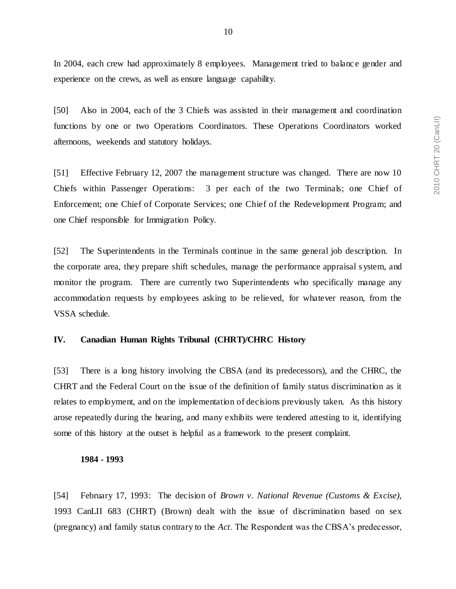In 2004, each crew had approximately 8 employees. Management tried to balance gender and experience on the crews, as well as ensure language capability.

[50] Also in 2004, each of the 3 Chiefs was assisted in their management and coordination functions by one or two Operations Coordinators. These Operations Coordinators worked afternoons, weekends and statutory holidays.

[51] Effective February 12, 2007 the management structure was changed. There are now 10 Chiefs within Passenger Operations: 3 per each of the two Terminals; one Chief of Enforcement; one Chief of Corporate Services; one Chief of the Redevelopment Program; and one Chief responsible for Immigration Policy.

[52] The Superintendents in the Terminals continue in the same general job description. In the corporate area, they prepare shift schedules, manage the performance appraisal s ystem, and monitor the program. There are currently two Superintendents who specifically manage any accommodation requests by employees asking to be relieved, for whatever reason, from the VSSA schedule.

### <span id="page-11-0"></span>**IV. Canadian Human Rights Tribunal (CHRT)/CHRC History**

[53] There is a long history involving the CBSA (and its predecessors), and the CHRC, the CHRT and the Federal Court on the issue of the definition of family status discrimination as it relates to employment, and on the implementation of decisions previously taken. As this history arose repeatedly during the hearing, and many exhibits were tendered attesting to it, identifying some of this history at the outset is helpful as a framework to the present complaint.

#### **1984 - 1993**

[54] February 17, 1993: The decision of *Brown v. National Revenue (Customs & Excise),* 1993 CanLII 683 (CHRT) (Brown) dealt with the issue of discrimination based on sex (pregnancy) and family status contrary to the *Act*. The Respondent was the CBSA's predecessor,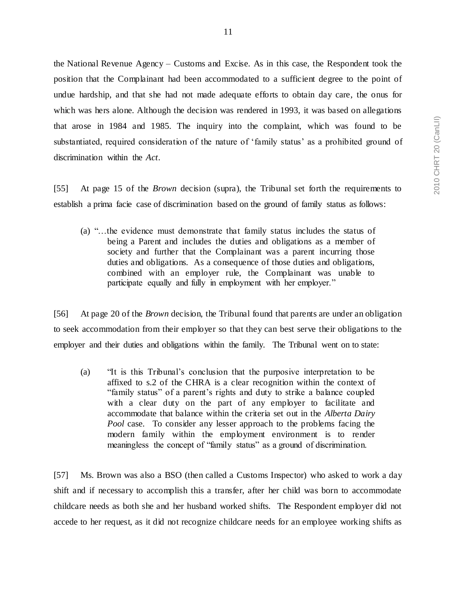2010 CHRT 20 (CanLII) 2010 CHRT 20 (CanLII)

the National Revenue Agency – Customs and Excise. As in this case, the Respondent took the position that the Complainant had been accommodated to a sufficient degree to the point of undue hardship, and that she had not made adequate efforts to obtain day care, the onus for which was hers alone. Although the decision was rendered in 1993, it was based on allegations that arose in 1984 and 1985. The inquiry into the complaint, which was found to be substantiated, required consideration of the nature of 'family status' as a prohibited ground of discrimination within the *Act*.

[55] At page 15 of the *Brown* decision (supra), the Tribunal set forth the requirements to establish a prima facie case of discrimination based on the ground of family status as follows:

(a) "…the evidence must demonstrate that family status includes the status of being a Parent and includes the duties and obligations as a member of society and further that the Complainant was a parent incurring those duties and obligations. As a consequence of those duties and obligations, combined with an employer rule, the Complainant was unable to participate equally and fully in employment with her employer."

[56] At page 20 of the *Brown* decision, the Tribunal found that parents are under an obligation to seek accommodation from their employer so that they can best serve their obligations to the employer and their duties and obligations within the family. The Tribunal went on to state:

(a) "It is this Tribunal's conclusion that the purposive interpretation to be affixed to s.2 of the CHRA is a clear recognition within the context of "family status" of a parent's rights and duty to strike a balance coupled with a clear duty on the part of any employer to facilitate and accommodate that balance within the criteria set out in the *Alberta Dairy Pool* case. To consider any lesser approach to the problems facing the modern family within the employment environment is to render meaningless the concept of "family status" as a ground of discrimination.

[57] Ms. Brown was also a BSO (then called a Customs Inspector) who asked to work a day shift and if necessary to accomplish this a transfer, after her child was born to accommodate childcare needs as both she and her husband worked shifts. The Respondent employer did not accede to her request, as it did not recognize childcare needs for an employee working shifts as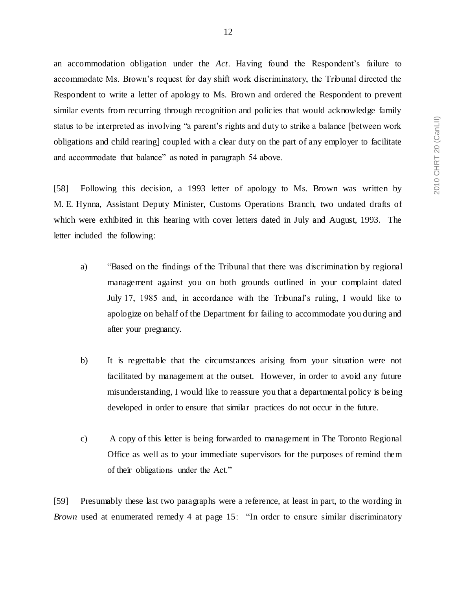an accommodation obligation under the *Act*. Having found the Respondent's failure to accommodate Ms. Brown's request for day shift work discriminatory, the Tribunal directed the Respondent to write a letter of apology to Ms. Brown and ordered the Respondent to prevent similar events from recurring through recognition and policies that would acknowledge family status to be interpreted as involving "a parent's rights and duty to strike a balance [between work obligations and child rearing] coupled with a clear duty on the part of any employer to facilitate and accommodate that balance" as noted in paragraph 54 above.

[58] Following this decision, a 1993 letter of apology to Ms. Brown was written by M. E. Hynna, Assistant Deputy Minister, Customs Operations Branch, two undated drafts of which were exhibited in this hearing with cover letters dated in July and August, 1993. The letter included the following:

- a) "Based on the findings of the Tribunal that there was discrimination by regional management against you on both grounds outlined in your complaint dated July 17, 1985 and, in accordance with the Tribunal's ruling, I would like to apologize on behalf of the Department for failing to accommodate you during and after your pregnancy.
- b) It is regrettable that the circumstances arising from your situation were not facilitated by management at the outset. However, in order to avoid any future misunderstanding, I would like to reassure you that a departmental policy is be ing developed in order to ensure that similar practices do not occur in the future.
- c) A copy of this letter is being forwarded to management in The Toronto Regional Office as well as to your immediate supervisors for the purposes of remind them of their obligations under the Act."

[59] Presumably these last two paragraphs were a reference, at least in part, to the wording in *Brown* used at enumerated remedy 4 at page 15: "In order to ensure similar discriminatory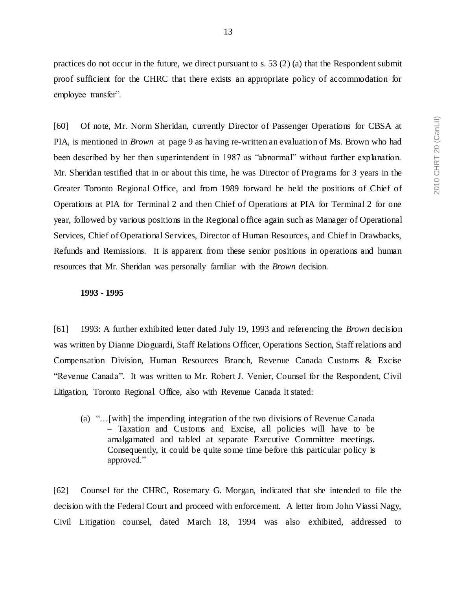practices do not occur in the future, we direct pursuant to s. 53 (2) (a) that the Respondent submit proof sufficient for the CHRC that there exists an appropriate policy of accommodation for employee transfer".

[60] Of note, Mr. Norm Sheridan, currently Director of Passenger Operations for CBSA at PIA, is mentioned in *Brown* at page 9 as having re-written an evaluation of Ms. Brown who had been described by her then superintendent in 1987 as "abnormal" without further explanation. Mr. Sheridan testified that in or about this time, he was Director of Programs for 3 years in the Greater Toronto Regional Office, and from 1989 forward he held the positions of Chief of Operations at PIA for Terminal 2 and then Chief of Operations at PIA for Terminal 2 for one year, followed by various positions in the Regional office again such as Manager of Operational Services, Chief of Operational Services, Director of Human Resources, and Chief in Drawbacks, Refunds and Remissions. It is apparent from these senior positions in operations and human resources that Mr. Sheridan was personally familiar with the *Brown* decision.

#### **1993 - 1995**

[61] 1993: A further exhibited letter dated July 19, 1993 and referencing the *Brown* decision was written by Dianne Dioguardi, Staff Relations Officer, Operations Section, Staff relations and Compensation Division, Human Resources Branch, Revenue Canada Customs & Excise "Revenue Canada". It was written to Mr. Robert J. Venier, Counsel for the Respondent, Civil Litigation, Toronto Regional Office, also with Revenue Canada It stated:

(a) "…[with] the impending integration of the two divisions of Revenue Canada – Taxation and Customs and Excise, all policies will have to be amalgamated and tabled at separate Executive Committee meetings. Consequently, it could be quite some time before this particular policy is approved."

[62] Counsel for the CHRC, Rosemary G. Morgan, indicated that she intended to file the decision with the Federal Court and proceed with enforcement. A letter from John Viassi Nagy, Civil Litigation counsel, dated March 18, 1994 was also exhibited, addressed to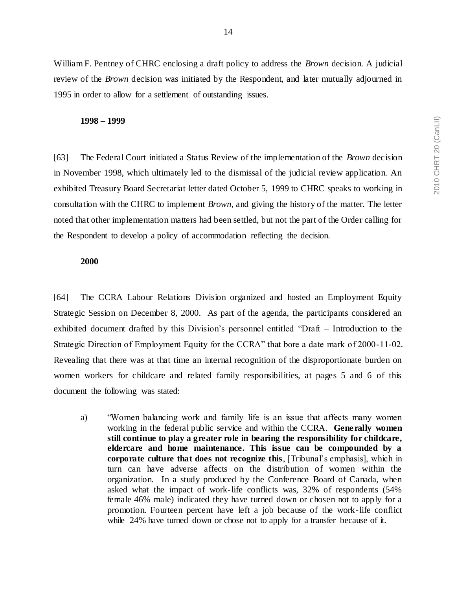William F. Pentney of CHRC enclosing a draft policy to address the *Brown* decision. A judicial review of the *Brown* decision was initiated by the Respondent, and later mutually adjourned in 1995 in order to allow for a settlement of outstanding issues.

#### **1998 – 1999**

[63] The Federal Court initiated a Status Review of the implementation of the *Brown* decision in November 1998, which ultimately led to the dismissal of the judicial review application. An exhibited Treasury Board Secretariat letter dated October 5, 1999 to CHRC speaks to working in consultation with the CHRC to implement *Brown*, and giving the history of the matter. The letter noted that other implementation matters had been settled, but not the part of the Order calling for the Respondent to develop a policy of accommodation reflecting the decision.

### **2000**

[64] The CCRA Labour Relations Division organized and hosted an Employment Equity Strategic Session on December 8, 2000. As part of the agenda, the participants considered an exhibited document drafted by this Division's personnel entitled "Draft – Introduction to the Strategic Direction of Employment Equity for the CCRA" that bore a date mark of 2000-11-02. Revealing that there was at that time an internal recognition of the disproportionate burden on women workers for childcare and related family responsibilities, at pages 5 and 6 of this document the following was stated:

a) "Women balancing work and family life is an issue that affects many women working in the federal public service and within the CCRA. **Generally women still continue to play a greater role in bearing the responsibility for childcare, eldercare and home maintenance. This issue can be compounded by a corporate culture that does not recognize this**, [Tribunal's emphasis], which in turn can have adverse affects on the distribution of women within the organization. In a study produced by the Conference Board of Canada, when asked what the impact of work-life conflicts was, 32% of respondents (54% female 46% male) indicated they have turned down or chosen not to apply for a promotion. Fourteen percent have left a job because of the work-life conflict while 24% have turned down or chose not to apply for a transfer because of it.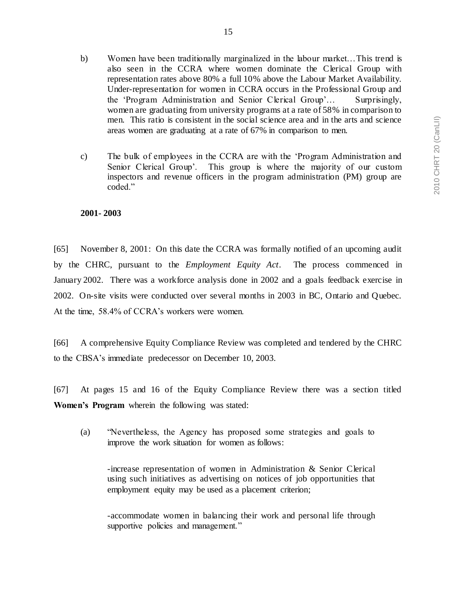- b) Women have been traditionally marginalized in the labour market…This trend is also seen in the CCRA where women dominate the Clerical Group with representation rates above 80% a full 10% above the Labour Market Availability. Under-representation for women in CCRA occurs in the Professional Group and the 'Program Administration and Senior Clerical Group'… Surprisingly, women are graduating from university programs at a rate of 58% in comparison to men. This ratio is consistent in the social science area and in the arts and science
- c) The bulk of employees in the CCRA are with the 'Program Administration and Senior Clerical Group'. This group is where the majority of our custom inspectors and revenue officers in the program administration (PM) group are coded."

## **2001- 2003**

[65] November 8, 2001: On this date the CCRA was formally notified of an upcoming audit by the CHRC, pursuant to the *Employment Equity Act*. The process commenced in January 2002. There was a workforce analysis done in 2002 and a goals feedback exercise in 2002. On-site visits were conducted over several months in 2003 in BC, Ontario and Quebec. At the time, 58.4% of CCRA's workers were women.

[66] A comprehensive Equity Compliance Review was completed and tendered by the CHRC to the CBSA's immediate predecessor on December 10, 2003.

[67] At pages 15 and 16 of the Equity Compliance Review there was a section titled **Women's Program** wherein the following was stated:

(a) "Nevertheless, the Agency has proposed some strategies and goals to improve the work situation for women as follows:

-increase representation of women in Administration & Senior Clerical using such initiatives as advertising on notices of job opportunities that employment equity may be used as a placement criterion;

-accommodate women in balancing their work and personal life through supportive policies and management."

areas women are graduating at a rate of 67% in comparison to men.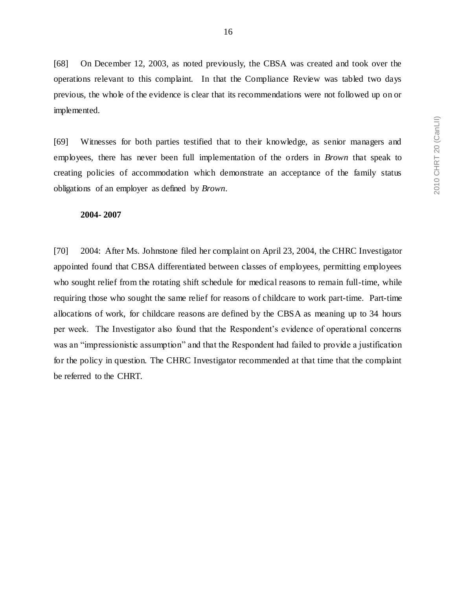[68] On December 12, 2003, as noted previously, the CBSA was created and took over the operations relevant to this complaint. In that the Compliance Review was tabled two days previous, the whole of the evidence is clear that its recommendations were not followed up on or implemented.

[69] Witnesses for both parties testified that to their knowledge, as senior managers and employees, there has never been full implementation of the orders in *Brown* that speak to creating policies of accommodation which demonstrate an acceptance of the family status obligations of an employer as defined by *Brown*.

#### **2004- 2007**

[70] 2004: After Ms. Johnstone filed her complaint on April 23, 2004, the CHRC Investigator appointed found that CBSA differentiated between classes of employees, permitting employees who sought relief from the rotating shift schedule for medical reasons to remain full-time, while requiring those who sought the same relief for reasons of childcare to work part-time. Part-time allocations of work, for childcare reasons are defined by the CBSA as meaning up to 34 hours per week. The Investigator also found that the Respondent's evidence of operational concerns was an "impressionistic assumption" and that the Respondent had failed to provide a justification for the policy in question. The CHRC Investigator recommended at that time that the complaint be referred to the CHRT.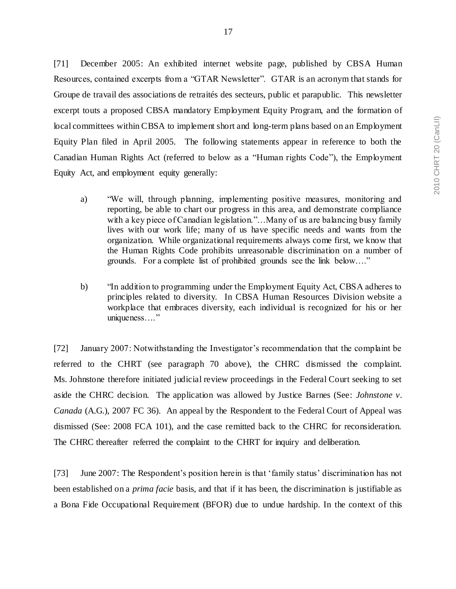[71] December 2005: An exhibited internet website page, published by CBSA Human Resources, contained excerpts from a "GTAR Newsletter". GTAR is an acronym that stands for Groupe de travail des associations de retraités des secteurs, public et parapublic. This newsletter excerpt touts a proposed CBSA mandatory Employment Equity Program, and the formation of local committees within CBSA to implement short and long-term plans based on an Employment Equity Plan filed in April 2005. The following statements appear in reference to both the Canadian Human Rights Act (referred to below as a "Human rights Code"), the Employment Equity Act, and employment equity generally:

- a) "We will, through planning, implementing positive measures, monitoring and reporting, be able to chart our progress in this area, and demonstrate compliance with a key piece of Canadian legislation."...Many of us are balancing busy family lives with our work life; many of us have specific needs and wants from the organization. While organizational requirements always come first, we know that the Human Rights Code prohibits unreasonable discrimination on a number of grounds. For a complete list of prohibited grounds see the link below…."
- b) "In addition to programming under the Employment Equity Act, CBSA adheres to principles related to diversity. In CBSA Human Resources Division website a workplace that embraces diversity, each individual is recognized for his or her uniqueness…."

[72] January 2007: Notwithstanding the Investigator's recommendation that the complaint be referred to the CHRT (see paragraph 70 above), the CHRC dismissed the complaint. Ms. Johnstone therefore initiated judicial review proceedings in the Federal Court seeking to set aside the CHRC decision. The application was allowed by Justice Barnes (See: *Johnstone v. Canada* (A.G.), 2007 FC 36). An appeal by the Respondent to the Federal Court of Appeal was dismissed (See: 2008 FCA 101), and the case remitted back to the CHRC for reconsideration. The CHRC thereafter referred the complaint to the CHRT for inquiry and deliberation.

[73] June 2007: The Respondent's position herein is that 'family status' discrimination has not been established on a *prima facie* basis, and that if it has been, the discrimination is justifiable as a Bona Fide Occupational Requirement (BFOR) due to undue hardship. In the context of this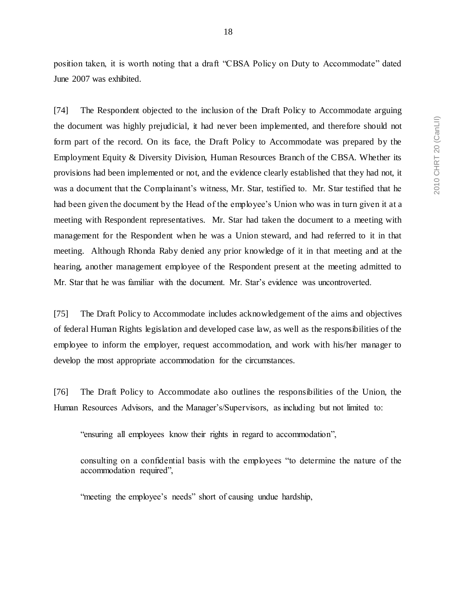18

position taken, it is worth noting that a draft "CBSA Policy on Duty to Accommodate" dated June 2007 was exhibited.

[74] The Respondent objected to the inclusion of the Draft Policy to Accommodate arguing the document was highly prejudicial, it had never been implemented, and therefore should not form part of the record. On its face, the Draft Policy to Accommodate was prepared by the Employment Equity & Diversity Division, Human Resources Branch of the CBSA. Whether its provisions had been implemented or not, and the evidence clearly established that they had not, it was a document that the Complainant's witness, Mr. Star, testified to. Mr. Star testified that he had been given the document by the Head of the employee's Union who was in turn given it at a meeting with Respondent representatives. Mr. Star had taken the document to a meeting with management for the Respondent when he was a Union steward, and had referred to it in that meeting. Although Rhonda Raby denied any prior knowledge of it in that meeting and at the hearing, another management employee of the Respondent present at the meeting admitted to Mr. Star that he was familiar with the document. Mr. Star's evidence was uncontroverted.

[75] The Draft Policy to Accommodate includes acknowledgement of the aims and objectives of federal Human Rights legislation and developed case law, as well as the responsibilities of the employee to inform the employer, request accommodation, and work with his/her manager to develop the most appropriate accommodation for the circumstances.

[76] The Draft Policy to Accommodate also outlines the responsibilities of the Union, the Human Resources Advisors, and the Manager's/Supervisors, as including but not limited to:

"ensuring all employees know their rights in regard to accommodation",

consulting on a confidential basis with the employees "to determine the nature of the accommodation required",

"meeting the employee's needs" short of causing undue hardship,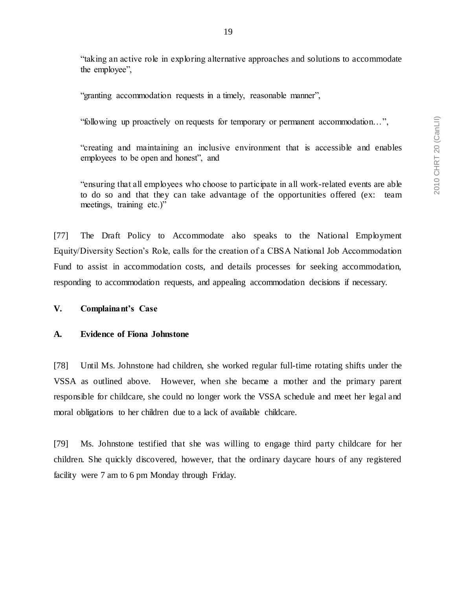"taking an active role in exploring alternative approaches and solutions to accommodate the employee",

"granting accommodation requests in a timely, reasonable manner",

"following up proactively on requests for temporary or permanent accommodation…",

"creating and maintaining an inclusive environment that is accessible and enables employees to be open and honest", and

"ensuring that all employees who choose to participate in all work-related events are able to do so and that they can take advantage of the opportunities offered (ex: team meetings, training etc.)"

[77] The Draft Policy to Accommodate also speaks to the National Employment Equity/Diversity Section's Role, calls for the creation of a CBSA National Job Accommodation Fund to assist in accommodation costs, and details processes for seeking accommodation, responding to accommodation requests, and appealing accommodation decisions if necessary.

#### <span id="page-20-0"></span>**V. Complainant's Case**

#### <span id="page-20-1"></span>**A. Evidence of Fiona Johnstone**

[78] Until Ms. Johnstone had children, she worked regular full-time rotating shifts under the VSSA as outlined above. However, when she became a mother and the primary parent responsible for childcare, she could no longer work the VSSA schedule and meet her legal and moral obligations to her children due to a lack of available childcare.

[79] Ms. Johnstone testified that she was willing to engage third party childcare for her children. She quickly discovered, however, that the ordinary daycare hours of any registered facility were 7 am to 6 pm Monday through Friday.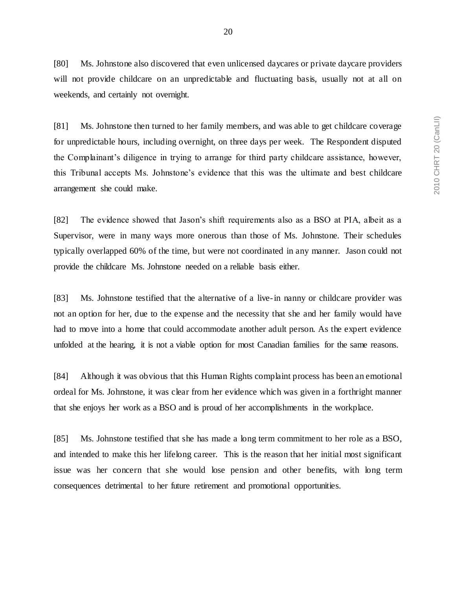[80] Ms. Johnstone also discovered that even unlicensed daycares or private daycare providers will not provide childcare on an unpredictable and fluctuating basis, usually not at all on weekends, and certainly not overnight.

[81] Ms. Johnstone then turned to her family members, and was able to get childcare coverage for unpredictable hours, including overnight, on three days per week. The Respondent disputed the Complainant's diligence in trying to arrange for third party childcare assistance, however, this Tribunal accepts Ms. Johnstone's evidence that this was the ultimate and best childcare arrangement she could make.

[82] The evidence showed that Jason's shift requirements also as a BSO at PIA, albeit as a Supervisor, were in many ways more onerous than those of Ms. Johnstone. Their schedules typically overlapped 60% of the time, but were not coordinated in any manner. Jason could not provide the childcare Ms. Johnstone needed on a reliable basis either.

[83] Ms. Johnstone testified that the alternative of a live-in nanny or childcare provider was not an option for her, due to the expense and the necessity that she and her family would have had to move into a home that could accommodate another adult person. As the expert evidence unfolded at the hearing, it is not a viable option for most Canadian families for the same reasons.

[84] Although it was obvious that this Human Rights complaint process has been an emotional ordeal for Ms. Johnstone, it was clear from her evidence which was given in a forthright manner that she enjoys her work as a BSO and is proud of her accomplishments in the workplace.

[85] Ms. Johnstone testified that she has made a long term commitment to her role as a BSO, and intended to make this her lifelong career. This is the reason that her initial most significant issue was her concern that she would lose pension and other benefits, with long term consequences detrimental to her future retirement and promotional opportunities.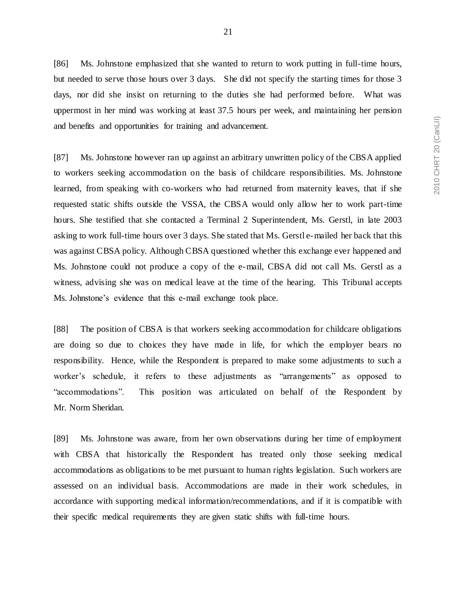[86] Ms. Johnstone emphasized that she wanted to return to work putting in full-time hours, but needed to serve those hours over 3 days. She did not specify the starting times for those 3 days, nor did she insist on returning to the duties she had performed before. What was uppermost in her mind was working at least 37.5 hours per week, and maintaining her pension and benefits and opportunities for training and advancement.

[87] Ms. Johnstone however ran up against an arbitrary unwritten policy of the CBSA applied to workers seeking accommodation on the basis of childcare responsibilities. Ms. Johnstone learned, from speaking with co-workers who had returned from maternity leaves, that if she requested static shifts outside the VSSA, the CBSA would only allow her to work part-time hours. She testified that she contacted a Terminal 2 Superintendent, Ms. Gerstl, in late 2003 asking to work full-time hours over 3 days. She stated that Ms. Gerstl e-mailed her back that this was against CBSA policy. Although CBSA questioned whether this exchange ever happened and Ms. Johnstone could not produce a copy of the e-mail, CBSA did not call Ms. Gerstl as a witness, advising she was on medical leave at the time of the hearing. This Tribunal accepts Ms. Johnstone's evidence that this e-mail exchange took place.

[88] The position of CBSA is that workers seeking accommodation for childcare obligations are doing so due to choices they have made in life, for which the employer bears no responsibility. Hence, while the Respondent is prepared to make some adjustments to such a worker's schedule, it refers to these adjustments as "arrangements" as opposed to "accommodations". This position was articulated on behalf of the Respondent by Mr. Norm Sheridan.

[89] Ms. Johnstone was aware, from her own observations during her time of employment with CBSA that historically the Respondent has treated only those seeking medical accommodations as obligations to be met pursuant to human rights legislation. Such workers are assessed on an individual basis. Accommodations are made in their work schedules, in accordance with supporting medical information/recommendations, and if it is compatible with their specific medical requirements they are given static shifts with full-time hours.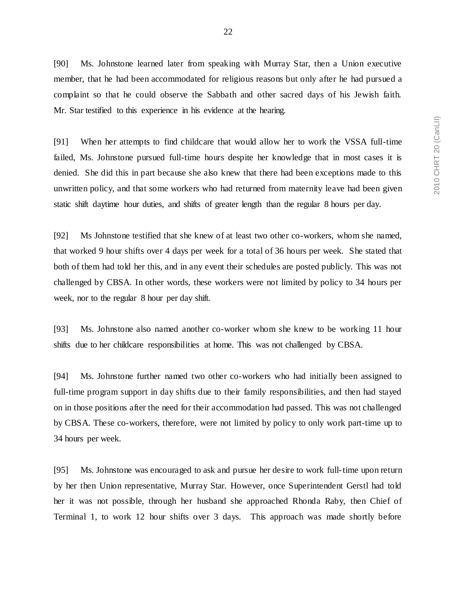[90] Ms. Johnstone learned later from speaking with Murray Star, then a Union executive member, that he had been accommodated for religious reasons but only after he had pursued a complaint so that he could observe the Sabbath and other sacred days of his Jewish faith. Mr. Star testified to this experience in his evidence at the hearing.

[91] When her attempts to find childcare that would allow her to work the VSSA full-time failed, Ms. Johnstone pursued full-time hours despite her knowledge that in most cases it is denied. She did this in part because she also knew that there had been exceptions made to this unwritten policy, and that some workers who had returned from maternity leave had been given static shift daytime hour duties, and shifts of greater length than the regular 8 hours per day.

[92] Ms Johnstone testified that she knew of at least two other co-workers, whom she named, that worked 9 hour shifts over 4 days per week for a total of 36 hours per week. She stated that both of them had told her this, and in any event their schedules are posted publicly. This was not challenged by CBSA. In other words, these workers were not limited by policy to 34 hours per week, nor to the regular 8 hour per day shift.

[93] Ms. Johnstone also named another co-worker whom she knew to be working 11 hour shifts due to her childcare responsibilities at home. This was not challenged by CBSA.

[94] Ms. Johnstone further named two other co-workers who had initially been assigned to full-time program support in day shifts due to their family responsibilities, and then had stayed on in those positions after the need for their accommodation had passed. This was not challenged by CBSA. These co-workers, therefore, were not limited by policy to only work part-time up to 34 hours per week.

[95] Ms. Johnstone was encouraged to ask and pursue her desire to work full-time upon return by her then Union representative, Murray Star. However, once Superintendent Gerstl had told her it was not possible, through her husband she approached Rhonda Raby, then Chief of Terminal 1, to work 12 hour shifts over 3 days. This approach was made shortly before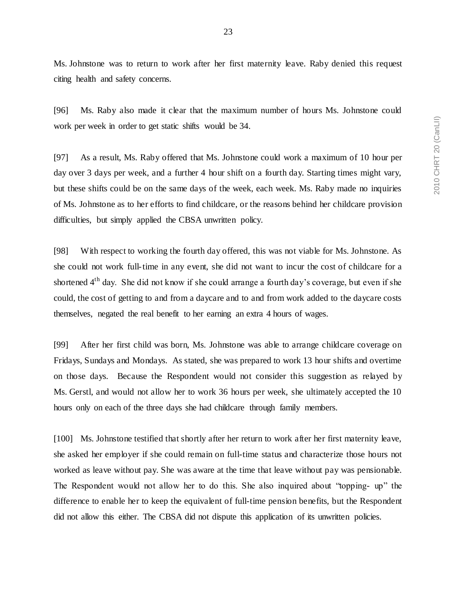Ms. Johnstone was to return to work after her first maternity leave. Raby denied this request citing health and safety concerns.

[96] Ms. Raby also made it clear that the maximum number of hours Ms. Johnstone could work per week in order to get static shifts would be 34.

[97] As a result, Ms. Raby offered that Ms. Johnstone could work a maximum of 10 hour per day over 3 days per week, and a further 4 hour shift on a fourth day. Starting times might vary, but these shifts could be on the same days of the week, each week. Ms. Raby made no inquiries of Ms. Johnstone as to her efforts to find childcare, or the reasons behind her childcare provision difficulties, but simply applied the CBSA unwritten policy.

[98] With respect to working the fourth day offered, this was not viable for Ms. Johnstone. As she could not work full-time in any event, she did not want to incur the cost of childcare for a shortened 4<sup>th</sup> day. She did not know if she could arrange a fourth day's coverage, but even if she could, the cost of getting to and from a daycare and to and from work added to the daycare costs themselves, negated the real benefit to her earning an extra 4 hours of wages.

[99] After her first child was born, Ms. Johnstone was able to arrange childcare coverage on Fridays, Sundays and Mondays. As stated, she was prepared to work 13 hour shifts and overtime on those days. Because the Respondent would not consider this suggestion as relayed by Ms. Gerstl, and would not allow her to work 36 hours per week, she ultimately accepted the 10 hours only on each of the three days she had childcare through family members.

[100] Ms. Johnstone testified that shortly after her return to work after her first maternity leave, she asked her employer if she could remain on full-time status and characterize those hours not worked as leave without pay. She was aware at the time that leave without pay was pensionable. The Respondent would not allow her to do this. She also inquired about "topping- up" the difference to enable her to keep the equivalent of full-time pension benefits, but the Respondent did not allow this either. The CBSA did not dispute this application of its unwritten policies.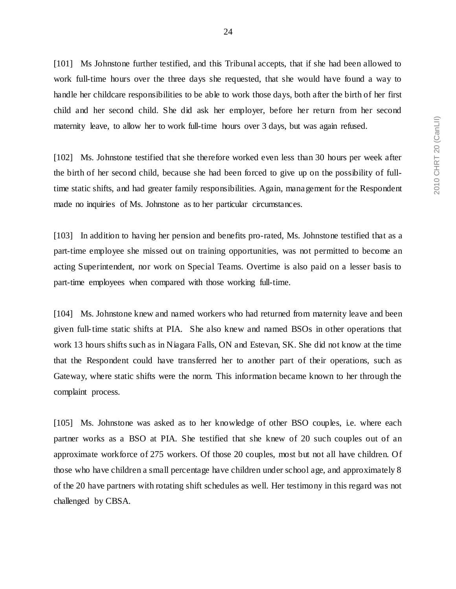[101] Ms Johnstone further testified, and this Tribunal accepts, that if she had been allowed to work full-time hours over the three days she requested, that she would have found a way to handle her childcare responsibilities to be able to work those days, both after the birth of her first child and her second child. She did ask her employer, before her return from her second maternity leave, to allow her to work full-time hours over 3 days, but was again refused.

[102] Ms. Johnstone testified that she therefore worked even less than 30 hours per week after the birth of her second child, because she had been forced to give up on the possibility of fulltime static shifts, and had greater family responsibilities. Again, management for the Respondent made no inquiries of Ms. Johnstone as to her particular circumstances.

[103] In addition to having her pension and benefits pro-rated, Ms. Johnstone testified that as a part-time employee she missed out on training opportunities, was not permitted to become an acting Superintendent, nor work on Special Teams. Overtime is also paid on a lesser basis to part-time employees when compared with those working full-time.

[104] Ms. Johnstone knew and named workers who had returned from maternity leave and been given full-time static shifts at PIA. She also knew and named BSOs in other operations that work 13 hours shifts such as in Niagara Falls, ON and Estevan, SK. She did not know at the time that the Respondent could have transferred her to another part of their operations, such as Gateway, where static shifts were the norm. This information became known to her through the complaint process.

[105] Ms. Johnstone was asked as to her knowledge of other BSO couples, i.e. where each partner works as a BSO at PIA. She testified that she knew of 20 such couples out of an approximate workforce of 275 workers. Of those 20 couples, most but not all have children. Of those who have children a small percentage have children under school age, and approximately 8 of the 20 have partners with rotating shift schedules as well. Her testimony in this regard was not challenged by CBSA.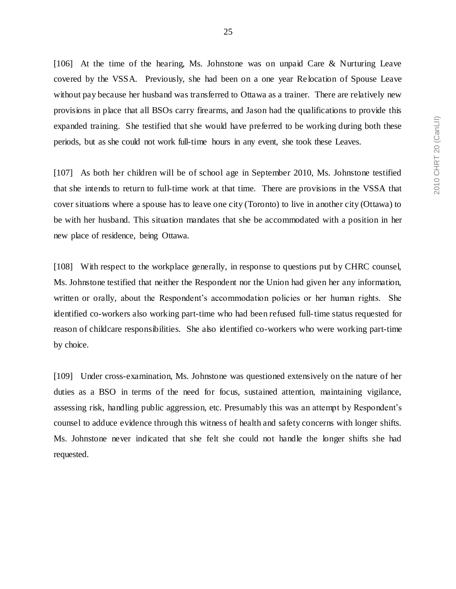[106] At the time of the hearing, Ms. Johnstone was on unpaid Care & Nurturing Leave covered by the VSSA. Previously, she had been on a one year Re location of Spouse Leave without pay because her husband was transferred to Ottawa as a trainer. There are relatively new provisions in place that all BSOs carry firearms, and Jason had the qualifications to provide this expanded training. She testified that she would have preferred to be working during both these periods, but as she could not work full-time hours in any event, she took these Leaves.

[107] As both her children will be of school age in September 2010, Ms. Johnstone testified that she intends to return to full-time work at that time. There are provisions in the VSSA that cover situations where a spouse has to leave one city (Toronto) to live in another city (Ottawa) to be with her husband. This situation mandates that she be accommodated with a position in her new place of residence, being Ottawa.

[108] With respect to the workplace generally, in response to questions put by CHRC counsel, Ms. Johnstone testified that neither the Respondent nor the Union had given her any information, written or orally, about the Respondent's accommodation policies or her human rights. She identified co-workers also working part-time who had been refused full-time status requested for reason of childcare responsibilities. She also identified co-workers who were working part-time by choice.

[109] Under cross-examination, Ms. Johnstone was questioned extensively on the nature of her duties as a BSO in terms of the need for focus, sustained attention, maintaining vigilance, assessing risk, handling public aggression, etc. Presumably this was an attempt by Respondent's counsel to adduce evidence through this witness of health and safety concerns with longer shifts. Ms. Johnstone never indicated that she felt she could not handle the longer shifts she had requested.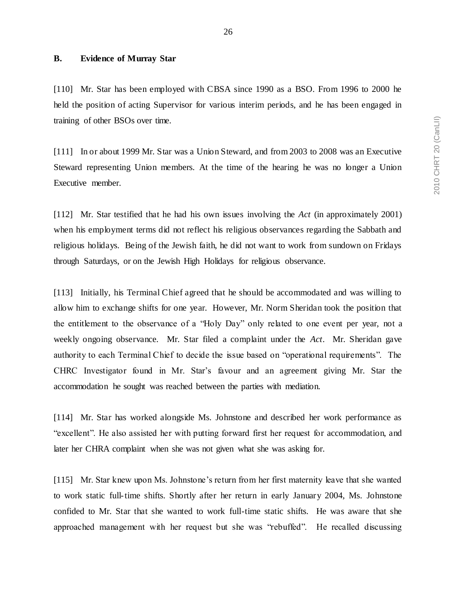## <span id="page-27-0"></span>**B. Evidence of Murray Star**

[110] Mr. Star has been employed with CBSA since 1990 as a BSO. From 1996 to 2000 he held the position of acting Supervisor for various interim periods, and he has been engaged in training of other BSOs over time.

[111] In or about 1999 Mr. Star was a Union Steward, and from 2003 to 2008 was an Executive Steward representing Union members. At the time of the hearing he was no longer a Union Executive member.

[112] Mr. Star testified that he had his own issues involving the *Act* (in approximately 2001) when his employment terms did not reflect his religious observances regarding the Sabbath and religious holidays. Being of the Jewish faith, he did not want to work from sundown on Fridays through Saturdays, or on the Jewish High Holidays for religious observance.

[113] Initially, his Terminal Chief agreed that he should be accommodated and was willing to allow him to exchange shifts for one year. However, Mr. Norm Sheridan took the position that the entitlement to the observance of a "Holy Day" only related to one event per year, not a weekly ongoing observance. Mr. Star filed a complaint under the *Act*. Mr. Sheridan gave authority to each Terminal Chief to decide the issue based on "operational requirements". The CHRC Investigator found in Mr. Star's favour and an agreement giving Mr. Star the accommodation he sought was reached between the parties with mediation.

[114] Mr. Star has worked alongside Ms. Johnstone and described her work performance as "excellent". He also assisted her with putting forward first her request for accommodation, and later her CHRA complaint when she was not given what she was asking for.

[115] Mr. Star knew upon Ms. Johnstone's return from her first maternity leave that she wanted to work static full-time shifts. Shortly after her return in early January 2004, Ms. Johnstone confided to Mr. Star that she wanted to work full-time static shifts. He was aware that she approached management with her request but she was "rebuffed". He recalled discussing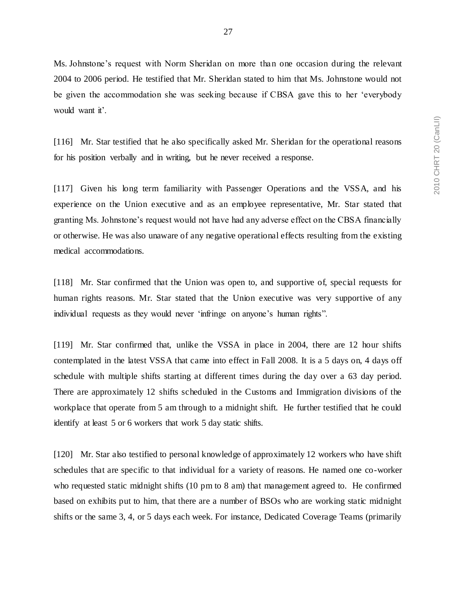Ms. Johnstone's request with Norm Sheridan on more than one occasion during the relevant 2004 to 2006 period. He testified that Mr. Sheridan stated to him that Ms. Johnstone would not be given the accommodation she was seeking because if CBSA gave this to her 'everybody would want it'.

[116] Mr. Star testified that he also specifically asked Mr. Sheridan for the operational reasons for his position verbally and in writing, but he never received a response.

[117] Given his long term familiarity with Passenger Operations and the VSSA, and his experience on the Union executive and as an employee representative, Mr. Star stated that granting Ms. Johnstone's request would not have had any adverse effect on the CBSA financially or otherwise. He was also unaware of any negative operational effects resulting from the existing medical accommodations.

[118] Mr. Star confirmed that the Union was open to, and supportive of, special requests for human rights reasons. Mr. Star stated that the Union executive was very supportive of any individual requests as they would never 'infringe on anyone's human rights".

[119] Mr. Star confirmed that, unlike the VSSA in place in 2004, there are 12 hour shifts contemplated in the latest VSSA that came into effect in Fall 2008. It is a 5 days on, 4 days off schedule with multiple shifts starting at different times during the day over a 63 day period. There are approximately 12 shifts scheduled in the Customs and Immigration divisions of the workplace that operate from 5 am through to a midnight shift. He further testified that he could identify at least 5 or 6 workers that work 5 day static shifts.

[120] Mr. Star also testified to personal knowledge of approximately 12 workers who have shift schedules that are specific to that individual for a variety of reasons. He named one co-worker who requested static midnight shifts (10 pm to 8 am) that management agreed to. He confirmed based on exhibits put to him, that there are a number of BSOs who are working static midnight shifts or the same 3, 4, or 5 days each week. For instance, Dedicated Coverage Teams (primarily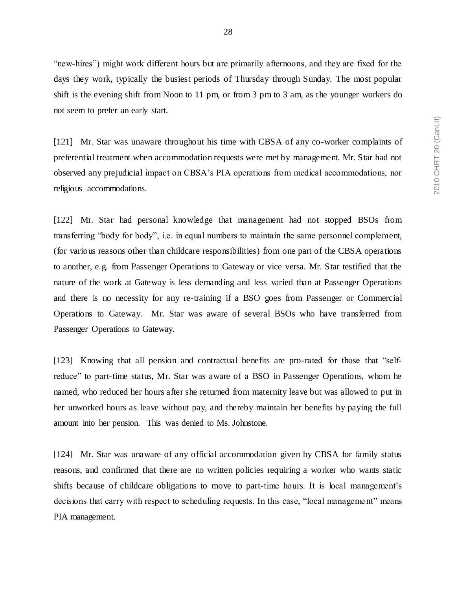"new-hires") might work different hours but are primarily afternoons, and they are fixed for the days they work, typically the busiest periods of Thursday through Sunday. The most popular shift is the evening shift from Noon to 11 pm, or from 3 pm to 3 am, as the younger workers do not seem to prefer an early start.

[121] Mr. Star was unaware throughout his time with CBSA of any co-worker complaints of preferential treatment when accommodation requests were met by management. Mr. Star had not observed any prejudicial impact on CBSA's PIA operations from medical accommodations, nor religious accommodations.

[122] Mr. Star had personal knowledge that management had not stopped BSOs from transferring "body for body", i.e. in equal numbers to maintain the same personnel complement, (for various reasons other than childcare responsibilities) from one part of the CBSA operations to another, e.g. from Passenger Operations to Gateway or vice versa. Mr. Star testified that the nature of the work at Gateway is less demanding and less varied than at Passenger Operations and there is no necessity for any re-training if a BSO goes from Passenger or Commercial Operations to Gateway. Mr. Star was aware of several BSOs who have transferred from Passenger Operations to Gateway.

[123] Knowing that all pension and contractual benefits are pro-rated for those that "selfreduce" to part-time status, Mr. Star was aware of a BSO in Passenger Operations, whom he named, who reduced her hours after she returned from maternity leave but was allowed to put in her unworked hours as leave without pay, and thereby maintain her benefits by paying the full amount into her pension. This was denied to Ms. Johnstone.

[124] Mr. Star was unaware of any official accommodation given by CBSA for family status reasons, and confirmed that there are no written policies requiring a worker who wants static shifts because of childcare obligations to move to part-time hours. It is local management's decisions that carry with respect to scheduling requests. In this case, "local management" means PIA management.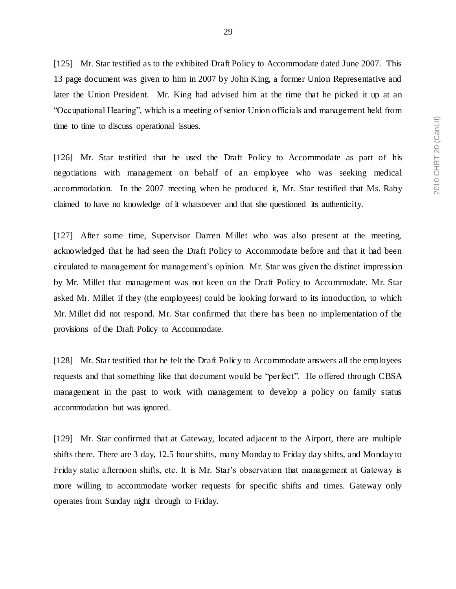[125] Mr. Star testified as to the exhibited Draft Policy to Accommodate dated June 2007. This 13 page document was given to him in 2007 by John King, a former Union Representative and later the Union President. Mr. King had advised him at the time that he picked it up at an

"Occupational Hearing", which is a meeting of senior Union officials and management held from time to time to discuss operational issues.

[126] Mr. Star testified that he used the Draft Policy to Accommodate as part of his negotiations with management on behalf of an employee who was seeking medical accommodation. In the 2007 meeting when he produced it, Mr. Star testified that Ms. Raby claimed to have no knowledge of it whatsoever and that she questioned its authenticity.

[127] After some time, Supervisor Darren Millet who was also present at the meeting, acknowledged that he had seen the Draft Policy to Accommodate before and that it had been circulated to management for management's opinion. Mr. Star was given the distinct impression by Mr. Millet that management was not keen on the Draft Policy to Accommodate. Mr. Star asked Mr. Millet if they (the employees) could be looking forward to its introduction, to which Mr. Millet did not respond. Mr. Star confirmed that there has been no implementation of the provisions of the Draft Policy to Accommodate.

[128] Mr. Star testified that he felt the Draft Policy to Accommodate answers all the employees requests and that something like that document would be "perfect". He offered through CBSA management in the past to work with management to develop a policy on family status accommodation but was ignored.

[129] Mr. Star confirmed that at Gateway, located adjacent to the Airport, there are multiple shifts there. There are 3 day, 12.5 hour shifts, many Monday to Friday day shifts, and Monday to Friday static afternoon shifts, etc. It is Mr. Star's observation that management at Gateway is more willing to accommodate worker requests for specific shifts and times. Gateway only operates from Sunday night through to Friday.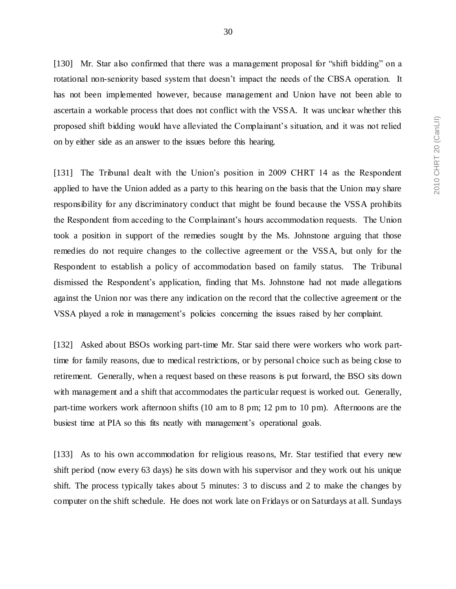[130] Mr. Star also confirmed that there was a management proposal for "shift bidding" on a rotational non-seniority based system that doesn't impact the needs of the CBSA operation. It has not been implemented however, because management and Union have not been able to ascertain a workable process that does not conflict with the VSSA. It was unclear whether this proposed shift bidding would have alleviated the Complainant's situation, and it was not relied on by either side as an answer to the issues before this hearing.

[131] The Tribunal dealt with the Union's position in 2009 CHRT 14 as the Respondent applied to have the Union added as a party to this hearing on the basis that the Union may share responsibility for any discriminatory conduct that might be found because the VSSA prohibits the Respondent from acceding to the Complainant's hours accommodation requests. The Union took a position in support of the remedies sought by the Ms. Johnstone arguing that those remedies do not require changes to the collective agreement or the VSSA, but only for the Respondent to establish a policy of accommodation based on family status. The Tribunal dismissed the Respondent's application*,* finding that Ms. Johnstone had not made allegations against the Union nor was there any indication on the record that the collective agreement or the VSSA played a role in management's policies concerning the issues raised by her complaint.

[132] Asked about BSOs working part-time Mr. Star said there were workers who work parttime for family reasons, due to medical restrictions, or by personal choice such as being close to retirement. Generally, when a request based on these reasons is put forward, the BSO sits down with management and a shift that accommodates the particular request is worked out. Generally, part-time workers work afternoon shifts (10 am to 8 pm; 12 pm to 10 pm). Afternoons are the busiest time at PIA so this fits neatly with management's operational goals.

[133] As to his own accommodation for religious reasons, Mr. Star testified that every new shift period (now every 63 days) he sits down with his supervisor and they work out his unique shift. The process typically takes about 5 minutes: 3 to discuss and 2 to make the changes by computer on the shift schedule. He does not work late on Fridays or on Saturdays at all. Sundays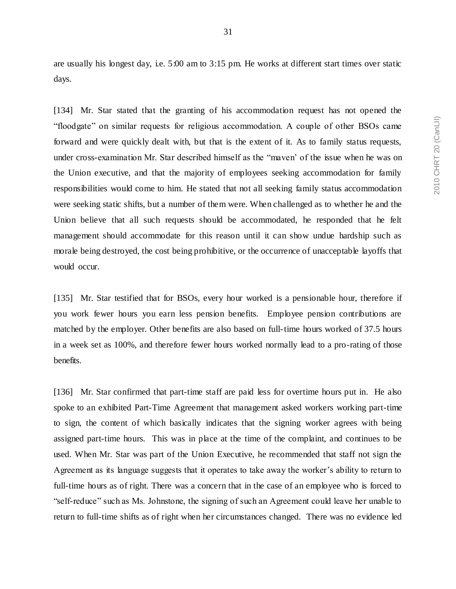31

are usually his longest day, i.e. 5:00 am to 3:15 pm. He works at different start times over static days.

[134] Mr. Star stated that the granting of his accommodation request has not opened the "floodgate" on similar requests for religious accommodation. A couple of other BSOs came forward and were quickly dealt with, but that is the extent of it. As to family status requests, under cross-examination Mr. Star described himself as the "maven' of the issue when he was on the Union executive, and that the majority of employees seeking accommodation for family responsibilities would come to him. He stated that not all seeking family status accommodation were seeking static shifts, but a number of them were. When challenged as to whether he and the Union believe that all such requests should be accommodated, he responded that he felt management should accommodate for this reason until it can show undue hardship such as morale being destroyed, the cost being prohibitive, or the occurrence of unacceptable layoffs that would occur.

[135] Mr. Star testified that for BSOs, every hour worked is a pensionable hour, therefore if you work fewer hours you earn less pension benefits. Employee pension contributions are matched by the employer. Other benefits are also based on full-time hours worked of 37.5 hours in a week set as 100%, and therefore fewer hours worked normally lead to a pro-rating of those benefits.

[136] Mr. Star confirmed that part-time staff are paid less for overtime hours put in. He also spoke to an exhibited Part-Time Agreement that management asked workers working part-time to sign, the content of which basically indicates that the signing worker agrees with being assigned part-time hours. This was in place at the time of the complaint, and continues to be used. When Mr. Star was part of the Union Executive, he recommended that staff not sign the Agreement as its language suggests that it operates to take away the worker's ability to return to full-time hours as of right. There was a concern that in the case of an employee who is forced to "self-reduce" such as Ms. Johnstone, the signing of such an Agreement could leave her unable to return to full-time shifts as of right when her circumstances changed. There was no evidence led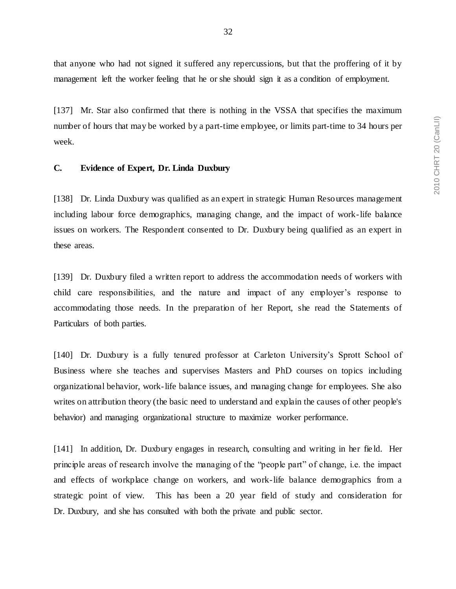that anyone who had not signed it suffered any repercussions, but that the proffering of it by management left the worker feeling that he or she should sign it as a condition of employment.

[137] Mr. Star also confirmed that there is nothing in the VSSA that specifies the maximum number of hours that may be worked by a part-time employee, or limits part-time to 34 hours per week.

# <span id="page-33-0"></span>**C. Evidence of Expert, Dr. Linda Duxbury**

[138] Dr. Linda Duxbury was qualified as an expert in strategic Human Resources management including labour force demographics, managing change, and the impact of work-life balance issues on workers. The Respondent consented to Dr. Duxbury being qualified as an expert in these areas.

[139] Dr. Duxbury filed a written report to address the accommodation needs of workers with child care responsibilities, and the nature and impact of any employer's response to accommodating those needs. In the preparation of her Report, she read the Statements of Particulars of both parties.

[140] Dr. Duxbury is a fully tenured professor at Carleton University's Sprott School of Business where she teaches and supervises Masters and PhD courses on topics including organizational behavior, work-life balance issues, and managing change for employees. She also writes on attribution theory (the basic need to understand and explain the causes of other people's behavior) and managing organizational structure to maximize worker performance.

[141] In addition, Dr. Duxbury engages in research, consulting and writing in her field. Her principle areas of research involve the managing of the "people part" of change, i.e. the impact and effects of workplace change on workers, and work-life balance demographics from a strategic point of view. This has been a 20 year field of study and consideration for Dr. Duxbury, and she has consulted with both the private and public sector.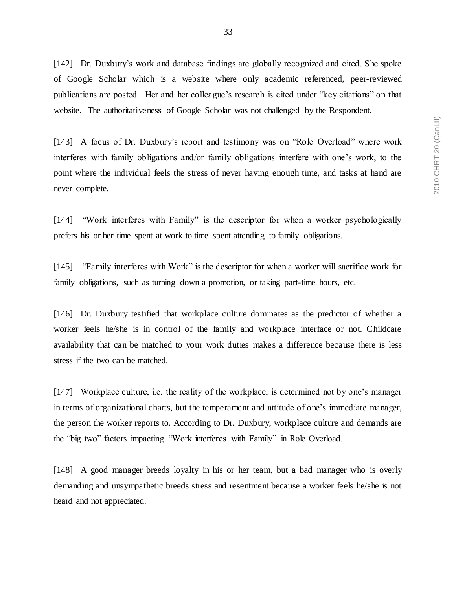[142] Dr. Duxbury's work and database findings are globally recognized and cited. She spoke of Google Scholar which is a website where only academic referenced, peer-reviewed publications are posted. Her and her colleague's research is cited under "key citations" on that website. The authoritativeness of Google Scholar was not challenged by the Respondent.

[143] A focus of Dr. Duxbury's report and testimony was on "Role Overload" where work interferes with family obligations and/or family obligations interfere with one's work, to the point where the individual feels the stress of never having enough time, and tasks at hand are never complete.

[144] "Work interferes with Family" is the descriptor for when a worker psychologically prefers his or her time spent at work to time spent attending to family obligations.

[145] "Family interferes with Work" is the descriptor for when a worker will sacrifice work for family obligations, such as turning down a promotion, or taking part-time hours, etc.

[146] Dr. Duxbury testified that workplace culture dominates as the predictor of whether a worker feels he/she is in control of the family and workplace interface or not. Childcare availability that can be matched to your work duties makes a difference because there is less stress if the two can be matched.

[147] Workplace culture, i.e. the reality of the workplace, is determined not by one's manager in terms of organizational charts, but the temperament and attitude of one's immediate manager, the person the worker reports to. According to Dr. Duxbury, workplace culture and demands are the "big two" factors impacting "Work interferes with Family" in Role Overload.

[148] A good manager breeds loyalty in his or her team, but a bad manager who is overly demanding and unsympathetic breeds stress and resentment because a worker feels he/she is not heard and not appreciated.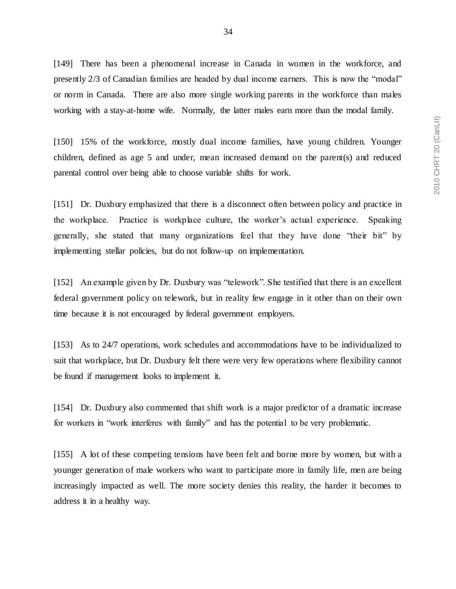[149] There has been a phenomenal increase in Canada in women in the workforce, and presently 2/3 of Canadian families are headed by dual income earners. This is now the "modal" or norm in Canada. There are also more single working parents in the workforce than males working with a stay-at-home wife. Normally, the latter males earn more than the modal family.

[150] 15% of the workforce, mostly dual income families, have young children. Younger children, defined as age 5 and under, mean increased demand on the parent(s) and reduced parental control over being able to choose variable shifts for work.

[151] Dr. Duxbury emphasized that there is a disconnect often between policy and practice in the workplace. Practice is workplace culture, the worker's actual experience. Speaking generally, she stated that many organizations feel that they have done "their bit" by implementing stellar policies, but do not follow-up on implementation.

[152] An example given by Dr. Duxbury was "telework". She testified that there is an excellent federal government policy on telework, but in reality few engage in it other than on their own time because it is not encouraged by federal government employers.

[153] As to 24/7 operations, work schedules and accommodations have to be individualized to suit that workplace, but Dr. Duxbury felt there were very few operations where flexibility cannot be found if management looks to implement it.

[154] Dr. Duxbury also commented that shift work is a major predictor of a dramatic increase for workers in "work interferes with family" and has the potential to be very problematic.

[155] A lot of these competing tensions have been felt and borne more by women, but with a younger generation of male workers who want to participate more in family life, men are being increasingly impacted as well. The more society denies this reality, the harder it becomes to address it in a healthy way.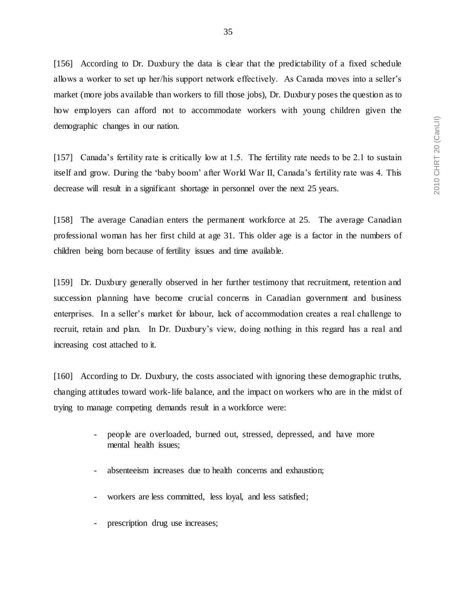[156] According to Dr. Duxbury the data is clear that the predictability of a fixed schedule allows a worker to set up her/his support network effectively. As Canada moves into a seller's market (more jobs available than workers to fill those jobs), Dr. Duxbury poses the question as to how employers can afford not to accommodate workers with young children given the demographic changes in our nation.

[157] Canada's fertility rate is critically low at 1.5. The fertility rate needs to be 2.1 to sustain itself and grow. During the 'baby boom' after World War II, Canada's fertility rate was 4. This decrease will result in a significant shortage in personnel over the next 25 years.

[158] The average Canadian enters the permanent workforce at 25. The average Canadian professional woman has her first child at age 31. This older age is a factor in the numbers of children being born because of fertility issues and time available.

[159] Dr. Duxbury generally observed in her further testimony that recruitment, retention and succession planning have become crucial concerns in Canadian government and business enterprises. In a seller's market for labour, lack of accommodation creates a real challenge to recruit, retain and plan. In Dr. Duxbury's view, doing nothing in this regard has a real and increasing cost attached to it.

[160] According to Dr. Duxbury, the costs associated with ignoring these demographic truths, changing attitudes toward work-life balance, and the impact on workers who are in the midst of trying to manage competing demands result in a workforce were:

- people are overloaded, burned out, stressed, depressed, and have more mental health issues;
- absenteeism increases due to health concerns and exhaustion;
- workers are less committed, less loyal, and less satisfied;
- prescription drug use increases;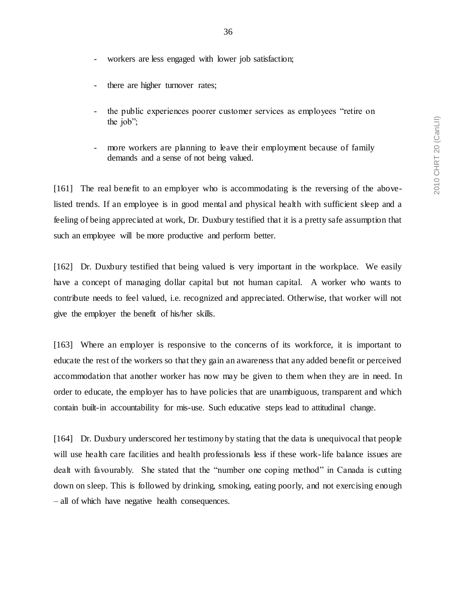- workers are less engaged with lower job satisfaction;
- there are higher turnover rates;
- the public experiences poorer customer services as employees "retire on the job";
- more workers are planning to leave their employment because of family demands and a sense of not being valued.

[161] The real benefit to an employer who is accommodating is the reversing of the abovelisted trends. If an employee is in good mental and physical health with sufficient sleep and a feeling of being appreciated at work, Dr. Duxbury testified that it is a pretty safe assumption that such an employee will be more productive and perform better.

[162] Dr. Duxbury testified that being valued is very important in the workplace. We easily have a concept of managing dollar capital but not human capital. A worker who wants to contribute needs to feel valued, i.e. recognized and appreciated. Otherwise, that worker will not give the employer the benefit of his/her skills.

[163] Where an employer is responsive to the concerns of its workforce, it is important to educate the rest of the workers so that they gain an awareness that any added benefit or perceived accommodation that another worker has now may be given to them when they are in need. In order to educate, the employer has to have policies that are unambiguous, transparent and which contain built-in accountability for mis-use. Such educative steps lead to attitudinal change.

[164] Dr. Duxbury underscored her testimony by stating that the data is unequivocal that people will use health care facilities and health professionals less if these work-life balance issues are dealt with favourably. She stated that the "number one coping method" in Canada is cutting down on sleep. This is followed by drinking, smoking, eating poorly, and not exercising enough – all of which have negative health consequences.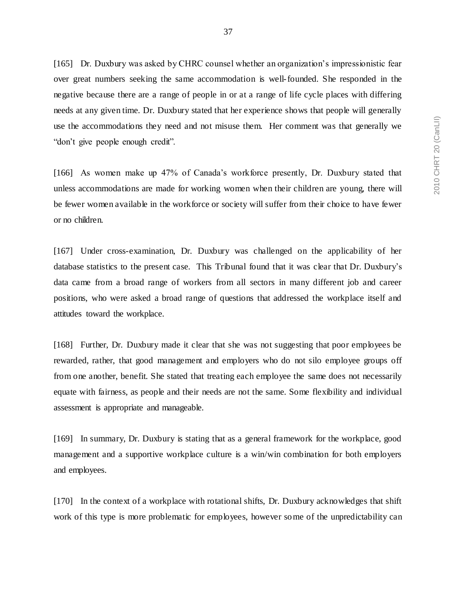[165] Dr. Duxbury was asked by CHRC counsel whether an organization's impressionistic fear over great numbers seeking the same accommodation is well-founded. She responded in the negative because there are a range of people in or at a range of life cycle places with differing needs at any given time. Dr. Duxbury stated that her experience shows that people will generally use the accommodations they need and not misuse them. Her comment was that generally we "don't give people enough credit".

[166] As women make up 47% of Canada's workforce presently, Dr. Duxbury stated that unless accommodations are made for working women when their children are young, there will be fewer women available in the workforce or society will suffer from their choice to have fewer or no children.

[167] Under cross-examination, Dr. Duxbury was challenged on the applicability of her database statistics to the present case. This Tribunal found that it was clear that Dr. Duxbury's data came from a broad range of workers from all sectors in many different job and career positions, who were asked a broad range of questions that addressed the workplace itself and attitudes toward the workplace.

[168] Further, Dr. Duxbury made it clear that she was not suggesting that poor employees be rewarded, rather, that good management and employers who do not silo employee groups off from one another, benefit. She stated that treating each employee the same does not necessarily equate with fairness, as people and their needs are not the same. Some flexibility and individual assessment is appropriate and manageable.

[169] In summary, Dr. Duxbury is stating that as a general framework for the workplace, good management and a supportive workplace culture is a win/win combination for both employers and employees.

[170] In the context of a workplace with rotational shifts, Dr. Duxbury acknowledges that shift work of this type is more problematic for employees, however some of the unpredictability can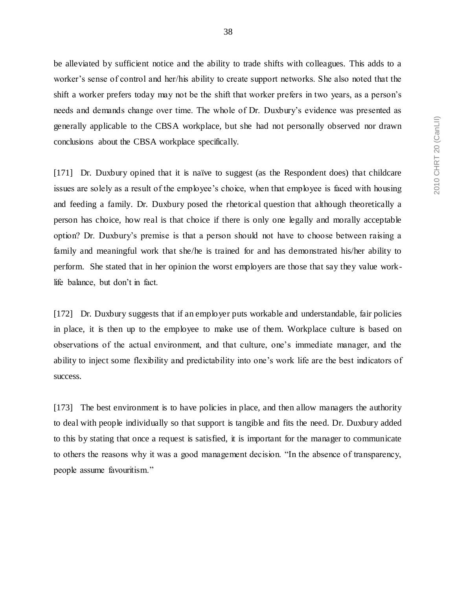be alleviated by sufficient notice and the ability to trade shifts with colleagues. This adds to a worker's sense of control and her/his ability to create support networks. She also noted that the shift a worker prefers today may not be the shift that worker prefers in two years, as a person's needs and demands change over time. The whole of Dr. Duxbury's evidence was presented as generally applicable to the CBSA workplace, but she had not personally observed nor drawn conclusions about the CBSA workplace specifically.

[171] Dr. Duxbury opined that it is naïve to suggest (as the Respondent does) that childcare issues are solely as a result of the employee's choice, when that employee is faced with housing and feeding a family. Dr. Duxbury posed the rhetorical question that although theoretically a person has choice, how real is that choice if there is only one legally and morally acceptable option? Dr. Duxbury's premise is that a person should not have to choose between raising a family and meaningful work that she/he is trained for and has demonstrated his/her ability to perform. She stated that in her opinion the worst employers are those that say they value worklife balance, but don't in fact.

[172] Dr. Duxbury suggests that if an employer puts workable and understandable, fair policies in place, it is then up to the employee to make use of them. Workplace culture is based on observations of the actual environment, and that culture, one's immediate manager, and the ability to inject some flexibility and predictability into one's work life are the best indicators of success.

[173] The best environment is to have policies in place, and then allow managers the authority to deal with people individually so that support is tangible and fits the need. Dr. Duxbury added to this by stating that once a request is satisfied, it is important for the manager to communicate to others the reasons why it was a good management decision. "In the absence of transparency, people assume favouritism."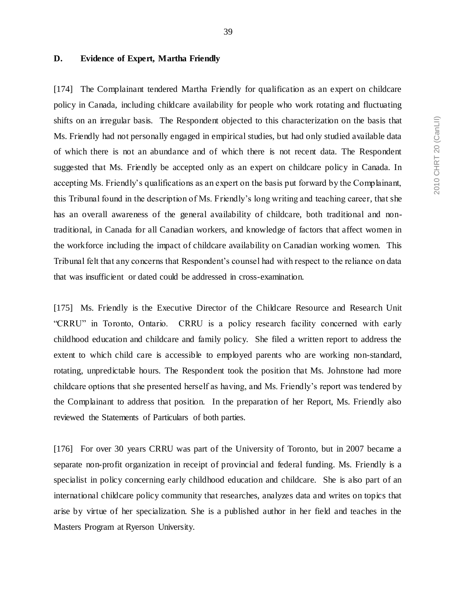### **D. Evidence of Expert, Martha Friendly**

[174] The Complainant tendered Martha Friendly for qualification as an expert on childcare policy in Canada, including childcare availability for people who work rotating and fluctuating shifts on an irregular basis. The Respondent objected to this characterization on the basis that Ms. Friendly had not personally engaged in empirical studies, but had only studied available data of which there is not an abundance and of which there is not recent data. The Respondent suggested that Ms. Friendly be accepted only as an expert on childcare policy in Canada. In accepting Ms. Friendly's qualifications as an expert on the basis put forward by the Complainant, this Tribunal found in the description of Ms. Friendly's long writing and teaching career, that she has an overall awareness of the general availability of childcare, both traditional and nontraditional, in Canada for all Canadian workers, and knowledge of factors that affect women in the workforce including the impact of childcare availability on Canadian working women. This Tribunal felt that any concerns that Respondent's counsel had with respect to the reliance on data that was insufficient or dated could be addressed in cross-examination.

[175] Ms. Friendly is the Executive Director of the Childcare Resource and Research Unit "CRRU" in Toronto, Ontario. CRRU is a policy research facility concerned with early childhood education and childcare and family policy. She filed a written report to address the extent to which child care is accessible to employed parents who are working non-standard, rotating, unpredictable hours. The Respondent took the position that Ms. Johnstone had more childcare options that she presented herself as having, and Ms. Friendly's report was tendered by the Complainant to address that position. In the preparation of her Report, Ms. Friendly also reviewed the Statements of Particulars of both parties.

[176] For over 30 years CRRU was part of the University of Toronto, but in 2007 became a separate non-profit organization in receipt of provincial and federal funding. Ms. Friendly is a specialist in policy concerning early childhood education and childcare. She is also part of an international childcare policy community that researches, analyzes data and writes on topics that arise by virtue of her specialization. She is a published author in her field and teaches in the Masters Program at Ryerson University.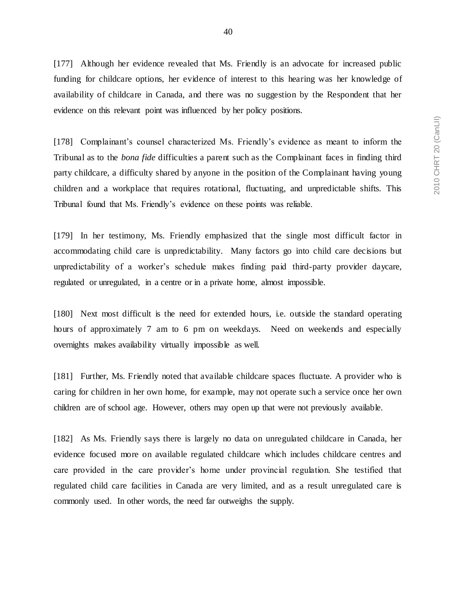[177] Although her evidence revealed that Ms. Friendly is an advocate for increased public funding for childcare options, her evidence of interest to this hearing was her knowledge of availability of childcare in Canada, and there was no suggestion by the Respondent that her evidence on this relevant point was influenced by her policy positions.

[178] Complainant's counsel characterized Ms. Friendly's evidence as meant to inform the Tribunal as to the *bona fide* difficulties a parent such as the Complainant faces in finding third party childcare, a difficulty shared by anyone in the position of the Complainant having young children and a workplace that requires rotational, fluctuating, and unpredictable shifts. This Tribunal found that Ms. Friendly's evidence on these points was reliable.

[179] In her testimony, Ms. Friendly emphasized that the single most difficult factor in accommodating child care is unpredictability. Many factors go into child care decisions but unpredictability of a worker's schedule makes finding paid third-party provider daycare, regulated or unregulated, in a centre or in a private home, almost impossible.

[180] Next most difficult is the need for extended hours, i.e. outside the standard operating hours of approximately 7 am to 6 pm on weekdays. Need on weekends and especially overnights makes availability virtually impossible as well.

[181] Further, Ms. Friendly noted that available childcare spaces fluctuate. A provider who is caring for children in her own home, for example, may not operate such a service once her own children are of school age. However, others may open up that were not previously available.

[182] As Ms. Friendly says there is largely no data on unregulated childcare in Canada, her evidence focused more on available regulated childcare which includes childcare centres and care provided in the care provider's home under provincial regulation. She testified that regulated child care facilities in Canada are very limited, and as a result unregulated care is commonly used. In other words, the need far outweighs the supply.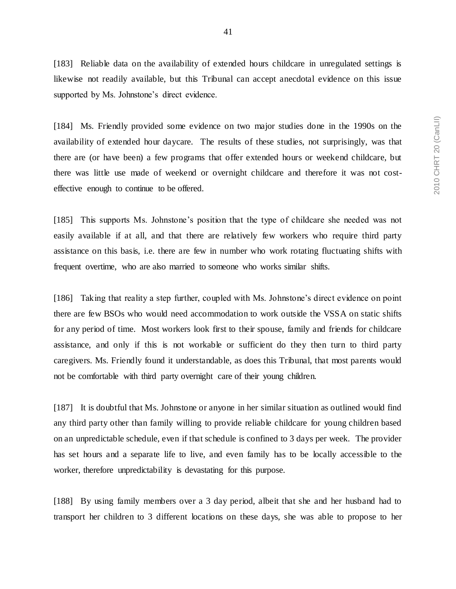[183] Reliable data on the availability of extended hours childcare in unregulated settings is likewise not readily available, but this Tribunal can accept anecdotal evidence on this issue supported by Ms. Johnstone's direct evidence.

[184] Ms. Friendly provided some evidence on two major studies done in the 1990s on the availability of extended hour daycare. The results of these studies, not surprisingly, was that there are (or have been) a few programs that offer extended hours or weekend childcare, but there was little use made of weekend or overnight childcare and therefore it was not costeffective enough to continue to be offered.

[185] This supports Ms. Johnstone's position that the type of childcare she needed was not easily available if at all, and that there are relatively few workers who require third party assistance on this basis, i.e. there are few in number who work rotating fluctuating shifts with frequent overtime, who are also married to someone who works similar shifts.

[186] Taking that reality a step further, coupled with Ms. Johnstone's direct evidence on point there are few BSOs who would need accommodation to work outside the VSSA on static shifts for any period of time. Most workers look first to their spouse, family and friends for childcare assistance, and only if this is not workable or sufficient do they then turn to third party caregivers. Ms. Friendly found it understandable, as does this Tribunal, that most parents would not be comfortable with third party overnight care of their young children.

[187] It is doubtful that Ms. Johnstone or anyone in her similar situation as outlined would find any third party other than family willing to provide reliable childcare for young children based on an unpredictable schedule, even if that schedule is confined to 3 days per week. The provider has set hours and a separate life to live, and even family has to be locally accessible to the worker, therefore unpredictability is devastating for this purpose.

[188] By using family members over a 3 day period, albeit that she and her husband had to transport her children to 3 different locations on these days, she was able to propose to her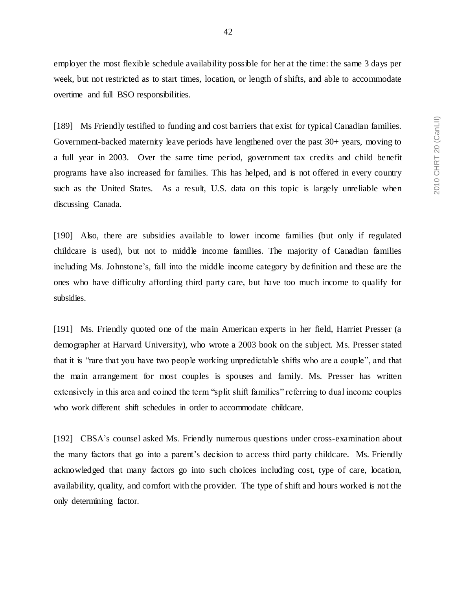employer the most flexible schedule availability possible for her at the time: the same 3 days per week, but not restricted as to start times, location, or length of shifts, and able to accommodate overtime and full BSO responsibilities.

[189] Ms Friendly testified to funding and cost barriers that exist for typical Canadian families. Government-backed maternity leave periods have lengthened over the past 30+ years, moving to a full year in 2003. Over the same time period, government tax credits and child benefit programs have also increased for families. This has helped, and is not offered in every country such as the United States. As a result, U.S. data on this topic is largely unreliable when discussing Canada.

[190] Also, there are subsidies available to lower income families (but only if regulated childcare is used), but not to middle income families. The majority of Canadian families including Ms. Johnstone's, fall into the middle income category by definition and these are the ones who have difficulty affording third party care, but have too much income to qualify for subsidies.

[191] Ms. Friendly quoted one of the main American experts in her field, Harriet Presser (a demographer at Harvard University), who wrote a 2003 book on the subject. Ms. Presser stated that it is "rare that you have two people working unpredictable shifts who are a couple", and that the main arrangement for most couples is spouses and family. Ms. Presser has written extensively in this area and coined the term "split shift families" referring to dual income couples who work different shift schedules in order to accommodate childcare.

[192] CBSA's counsel asked Ms. Friendly numerous questions under cross-examination about the many factors that go into a parent's decision to access third party childcare. Ms. Friendly acknowledged that many factors go into such choices including cost, type of care, location, availability, quality, and comfort with the provider. The type of shift and hours worked is not the only determining factor.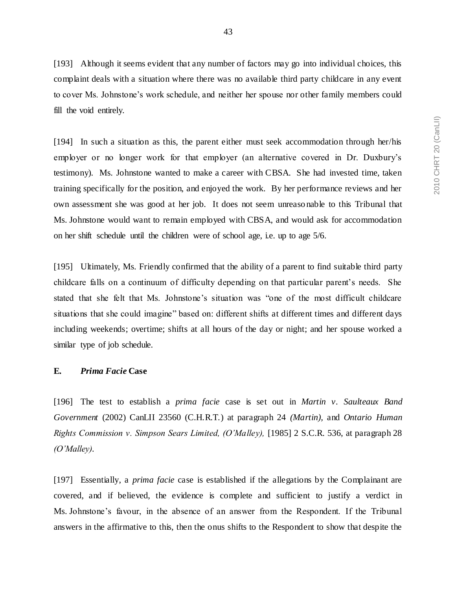[193] Although it seems evident that any number of factors may go into individual choices, this complaint deals with a situation where there was no available third party childcare in any event to cover Ms. Johnstone's work schedule, and neither her spouse nor other family members could fill the void entirely.

[194] In such a situation as this, the parent either must seek accommodation through her/his employer or no longer work for that employer (an alternative covered in Dr. Duxbury's testimony). Ms. Johnstone wanted to make a career with CBSA. She had invested time, taken training specifically for the position, and enjoyed the work. By her performance reviews and her own assessment she was good at her job. It does not seem unreasonable to this Tribunal that Ms. Johnstone would want to remain employed with CBSA, and would ask for accommodation on her shift schedule until the children were of school age, i.e. up to age 5/6.

[195] Ultimately, Ms. Friendly confirmed that the ability of a parent to find suitable third party childcare falls on a continuum of difficulty depending on that particular parent's needs. She stated that she felt that Ms. Johnstone's situation was "one of the most difficult childcare situations that she could imagine" based on: different shifts at different times and different days including weekends; overtime; shifts at all hours of the day or night; and her spouse worked a similar type of job schedule.

#### **E.** *Prima Facie* **Case**

[196] The test to establish a *prima facie* case is set out in *Martin v. Saulteaux Band Government* (2002) CanLII 23560 (C.H.R.T.) at paragraph 24 *(Martin),* and *Ontario Human Rights Commission v. Simpson Sears Limited, (O'Malley),* [1985] 2 S.C.R. 536, at paragraph 28 *(O'Malley).*

[197] Essentially, a *prima facie* case is established if the allegations by the Complainant are covered, and if believed, the evidence is complete and sufficient to justify a verdict in Ms. Johnstone's favour, in the absence of an answer from the Respondent. If the Tribunal answers in the affirmative to this, then the onus shifts to the Respondent to show that despite the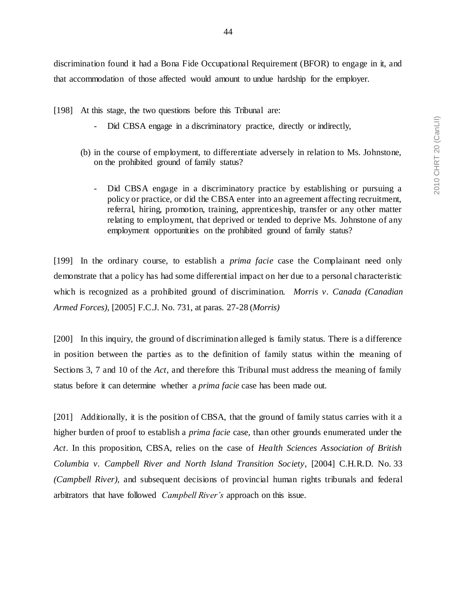discrimination found it had a Bona Fide Occupational Requirement (BFOR) to engage in it, and that accommodation of those affected would amount to undue hardship for the employer.

- [198] At this stage, the two questions before this Tribunal are:
	- Did CBSA engage in a discriminatory practice, directly or indirectly,
	- (b) in the course of employment, to differentiate adversely in relation to Ms. Johnstone, on the prohibited ground of family status?
		- Did CBSA engage in a discriminatory practice by establishing or pursuing a policy or practice, or did the CBSA enter into an agreement affecting recruitment, referral, hiring, promotion, training, apprenticeship, transfer or any other matter relating to employment, that deprived or tended to deprive Ms. Johnstone of any employment opportunities on the prohibited ground of family status?

[199] In the ordinary course, to establish a *prima facie* case the Complainant need only demonstrate that a policy has had some differential impact on her due to a personal characteristic which is recognized as a prohibited ground of discrimination. *Morris v. Canada (Canadian Armed Forces),* [2005] F.C.J. No. 731, at paras. 27-28 (*Morris)*

[200] In this inquiry, the ground of discrimination alleged is family status. There is a difference in position between the parties as to the definition of family status within the meaning of Sections 3, 7 and 10 of the *Act*, and therefore this Tribunal must address the meaning of family status before it can determine whether a *prima facie* case has been made out.

[201] Additionally, it is the position of CBSA, that the ground of family status carries with it a higher burden of proof to establish a *prima facie* case, than other grounds enumerated under the *Act*. In this proposition, CBSA, relies on the case of *Health Sciences Association of British Columbia v. Campbell River and North Island Transition Society*, [2004] C.H.R.D. No. 33 *(Campbell River)*, and subsequent decisions of provincial human rights tribunals and federal arbitrators that have followed *Campbell River's* approach on this issue.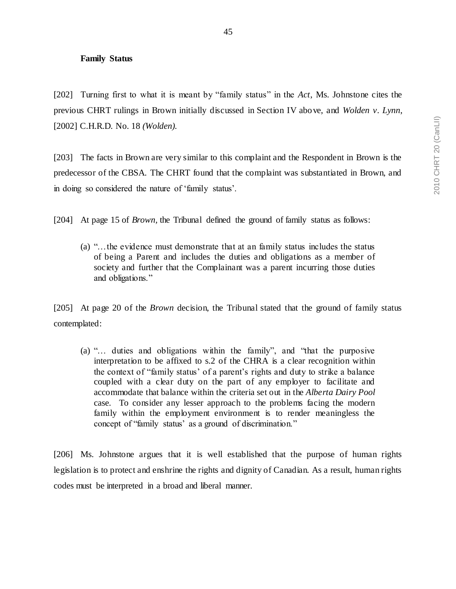#### **Family Status**

[202] Turning first to what it is meant by "family status" in the *Act*, Ms. Johnstone cites the previous CHRT rulings in Brown initially discussed in Section IV above, and *Wolden v. Lynn*, [2002] C.H.R.D. No. 18 *(Wolden).*

[203] The facts in Brown are very similar to this complaint and the Respondent in Brown is the predecessor of the CBSA. The CHRT found that the complaint was substantiated in Brown, and in doing so considered the nature of 'family status'.

[204] At page 15 of *Brown,* the Tribunal defined the ground of family status as follows:

(a) "…the evidence must demonstrate that at an family status includes the status of being a Parent and includes the duties and obligations as a member of society and further that the Complainant was a parent incurring those duties and obligations."

[205] At page 20 of the *Brown* decision, the Tribunal stated that the ground of family status contemplated:

(a) "… duties and obligations within the family", and "that the purposive interpretation to be affixed to s.2 of the CHRA is a clear recognition within the context of "family status' of a parent's rights and duty to strike a balance coupled with a clear duty on the part of any employer to facilitate and accommodate that balance within the criteria set out in the *Alberta Dairy Pool*  case. To consider any lesser approach to the problems facing the modern family within the employment environment is to render meaningless the concept of "family status' as a ground of discrimination."

[206] Ms. Johnstone argues that it is well established that the purpose of human rights legislation is to protect and enshrine the rights and dignity of Canadian. As a result, human rights codes must be interpreted in a broad and liberal manner.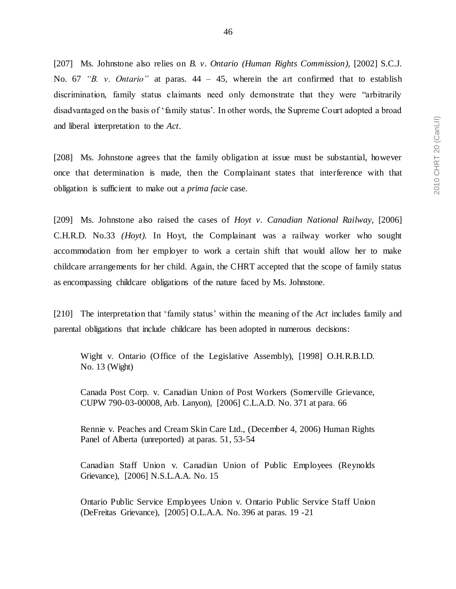[207] Ms. Johnstone also relies on *B. v. Ontario (Human Rights Commission),* [2002] S.C.J. No. 67 *"B. v. Ontario"* at paras. 44 – 45, wherein the art confirmed that to establish discrimination, family status claimants need only demonstrate that they were "arbitrarily disadvantaged on the basis of 'family status'. In other words, the Supreme Court adopted a broad and liberal interpretation to the *Act*.

[208] Ms. Johnstone agrees that the family obligation at issue must be substantial, however once that determination is made, then the Complainant states that interference with that obligation is sufficient to make out a *prima facie* case.

[209] Ms. Johnstone also raised the cases of *Hoyt v. Canadian National Railway,* [2006] C.H.R.D. No.33 *(Hoyt).* In Hoyt, the Complainant was a railway worker who sought accommodation from her employer to work a certain shift that would allow her to make childcare arrangements for her child. Again, the CHRT accepted that the scope of family status as encompassing childcare obligations of the nature faced by Ms. Johnstone.

[210] The interpretation that 'family status' within the meaning of the *Act* includes family and parental obligations that include childcare has been adopted in numerous decisions:

Wight v. Ontario (Office of the Legislative Assembly), [1998] O.H.R.B.I.D. No. 13 (Wight)

Canada Post Corp. v. Canadian Union of Post Workers (Somerville Grievance, CUPW 790-03-00008, Arb. Lanyon), [2006] C.L.A.D. No. 371 at para. 66

Rennie v. Peaches and Cream Skin Care Ltd., (December 4, 2006) Human Rights Panel of Alberta (unreported) at paras. 51, 53-54

Canadian Staff Union v. Canadian Union of Public Employees (Reynolds Grievance), [2006] N.S.L.A.A. No. 15

Ontario Public Service Employees Union v. Ontario Public Service Staff Union (DeFreitas Grievance), [2005] O.L.A.A. No. 396 at paras. 19 -21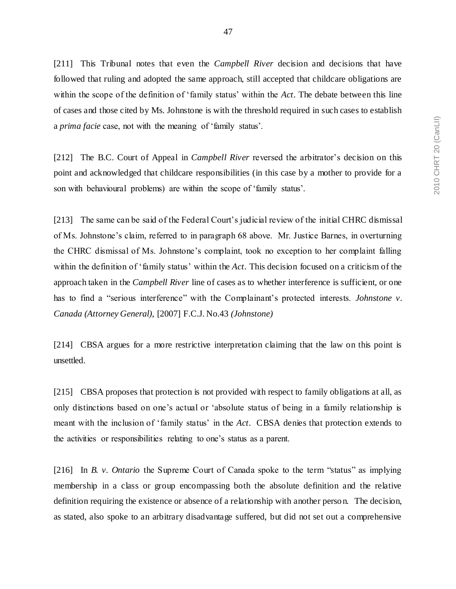[211] This Tribunal notes that even the *Campbell River* decision and decisions that have followed that ruling and adopted the same approach, still accepted that childcare obligations are within the scope of the definition of 'family status' within the *Act*. The debate between this line of cases and those cited by Ms. Johnstone is with the threshold required in such cases to establish a *prima facie* case, not with the meaning of 'family status'.

[212] The B.C. Court of Appeal in *Campbell River* reversed the arbitrator's decision on this point and acknowledged that childcare responsibilities (in this case by a mother to provide for a son with behavioural problems) are within the scope of 'family status'.

[213] The same can be said of the Federal Court's judicial review of the initial CHRC dismissal of Ms. Johnstone's claim, referred to in paragraph 68 above. Mr. Justice Barnes, in overturning the CHRC dismissal of Ms. Johnstone's complaint, took no exception to her complaint falling within the definition of 'family status' within the *Act*. This decision focused on a criticism of the approach taken in the *Campbell River* line of cases as to whether interference is sufficient, or one has to find a "serious interference" with the Complainant's protected interests. *Johnstone v. Canada (Attorney General)*, [2007] F.C.J. No.43 *(Johnstone)*

[214] CBSA argues for a more restrictive interpretation claiming that the law on this point is unsettled.

[215] CBSA proposes that protection is not provided with respect to family obligations at all, as only distinctions based on one's actual or 'absolute status of being in a family relationship is meant with the inclusion of 'family status' in the *Act*. CBSA denies that protection extends to the activities or responsibilities relating to one's status as a parent.

[216] In *B. v. Ontario* the Supreme Court of Canada spoke to the term "status" as implying membership in a class or group encompassing both the absolute definition and the relative definition requiring the existence or absence of a relationship with another perso n. The decision, as stated, also spoke to an arbitrary disadvantage suffered, but did not set out a comprehensive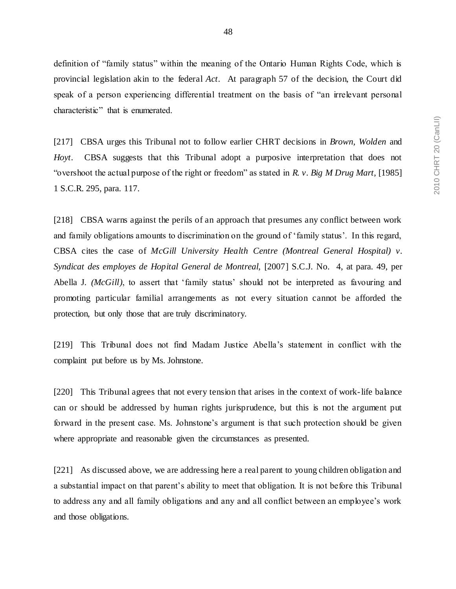definition of "family status" within the meaning of the Ontario Human Rights Code, which is provincial legislation akin to the federal *Act*. At paragraph 57 of the decision, the Court did speak of a person experiencing differential treatment on the basis of "an irrelevant personal

characteristic" that is enumerated.

[217] CBSA urges this Tribunal not to follow earlier CHRT decisions in *Brown, Wolden* and *Hoyt*. CBSA suggests that this Tribunal adopt a purposive interpretation that does not "overshoot the actual purpose of the right or freedom" as stated in *R. v. Big M Drug Mart,* [1985] 1 S.C.R. 295, para. 117.

[218] CBSA warns against the perils of an approach that presumes any conflict between work and family obligations amounts to discrimination on the ground of 'family status'. In this regard, CBSA cites the case of *McGill University Health Centre (Montreal General Hospital) v. Syndicat des employes de Hopital General de Montreal,* [2007] S.C.J. No. 4, at para. 49, per Abella J. *(McGill)*, to assert that 'family status' should not be interpreted as favouring and promoting particular familial arrangements as not every situation cannot be afforded the protection, but only those that are truly discriminatory.

[219] This Tribunal does not find Madam Justice Abella's statement in conflict with the complaint put before us by Ms. Johnstone.

[220] This Tribunal agrees that not every tension that arises in the context of work-life balance can or should be addressed by human rights jurisprudence, but this is not the argument put forward in the present case. Ms. Johnstone's argument is that such protection should be given where appropriate and reasonable given the circumstances as presented.

[221] As discussed above, we are addressing here a real parent to young children obligation and a substantial impact on that parent's ability to meet that obligation. It is not before this Tribunal to address any and all family obligations and any and all conflict between an employee's work and those obligations.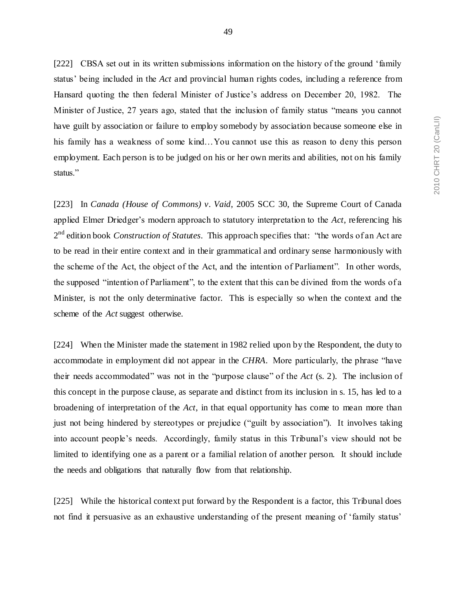[222] CBSA set out in its written submissions information on the history of the ground 'family status' being included in the *Act* and provincial human rights codes, including a reference from Hansard quoting the then federal Minister of Justice's address on December 20, 1982. The Minister of Justice, 27 years ago, stated that the inclusion of family status "means you cannot have guilt by association or failure to employ somebody by association because someone else in his family has a weakness of some kind…You cannot use this as reason to deny this person employment. Each person is to be judged on his or her own merits and abilities, not on his family status."

[223] In *Canada (House of Commons) v. Vaid*, 2005 SCC 30, the Supreme Court of Canada applied Elmer Driedger's modern approach to statutory interpretation to the *Act*, referencing his 2 nd edition book *Construction of Statutes*. This approach specifies that: "the words of an Act are to be read in their entire context and in their grammatical and ordinary sense harmoniously with the scheme of the Act, the object of the Act, and the intention of Parliament". In other words, the supposed "intention of Parliament", to the extent that this can be divined from the words of a Minister, is not the only determinative factor. This is especially so when the context and the scheme of the *Act* suggest otherwise.

[224] When the Minister made the statement in 1982 relied upon by the Respondent, the duty to accommodate in employment did not appear in the *CHRA*. More particularly, the phrase "have their needs accommodated" was not in the "purpose clause" of the *Act* (s. 2). The inclusion of this concept in the purpose clause, as separate and distinct from its inclusion in s. 15, has led to a broadening of interpretation of the *Act*, in that equal opportunity has come to mean more than just not being hindered by stereotypes or prejudice ("guilt by association"). It involves taking into account people's needs. Accordingly, family status in this Tribunal's view should not be limited to identifying one as a parent or a familial relation of another person. It should include the needs and obligations that naturally flow from that relationship.

[225] While the historical context put forward by the Respondent is a factor, this Tribunal does not find it persuasive as an exhaustive understanding of the present meaning of 'family status'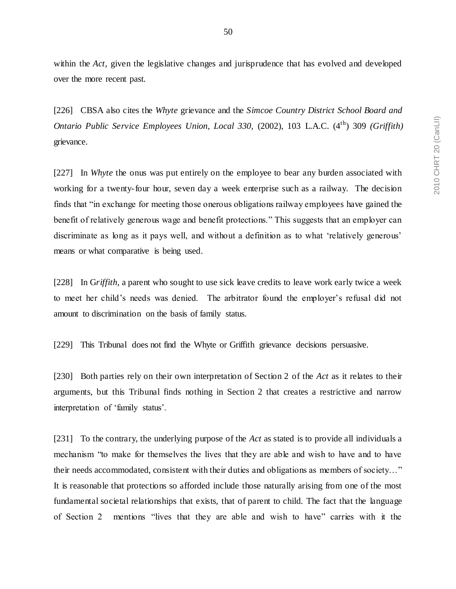within the *Act*, given the legislative changes and jurisprudence that has evolved and developed over the more recent past.

[226] CBSA also cites the *Whyte* grievance and the *Simcoe Country District School Board and Ontario Public Service Employees Union, Local 330,* (2002), 103 L.A.C. (4th) 309 *(Griffith)* grievance.

[227] In *Whyte* the onus was put entirely on the employee to bear any burden associated with working for a twenty-four hour, seven day a week enterprise such as a railway. The decision finds that "in exchange for meeting those onerous obligations railway employees have gained the benefit of relatively generous wage and benefit protections." This suggests that an employer can discriminate as long as it pays well, and without a definition as to what 'relatively generous' means or what comparative is being used.

[228] In G*riffith*, a parent who sought to use sick leave credits to leave work early twice a week to meet her child's needs was denied. The arbitrator found the employer's refusal did not amount to discrimination on the basis of family status.

[229] This Tribunal does not find the Whyte or Griffith grievance decisions persuasive.

[230] Both parties rely on their own interpretation of Section 2 of the *Act* as it relates to their arguments, but this Tribunal finds nothing in Section 2 that creates a restrictive and narrow interpretation of 'family status'.

[231] To the contrary, the underlying purpose of the *Act* as stated is to provide all individuals a mechanism "to make for themselves the lives that they are able and wish to have and to have their needs accommodated, consistent with their duties and obligations as members of society…" It is reasonable that protections so afforded include those naturally arising from one of the most fundamental societal relationships that exists, that of parent to child. The fact that the language of Section 2 mentions "lives that they are able and wish to have" carries with it the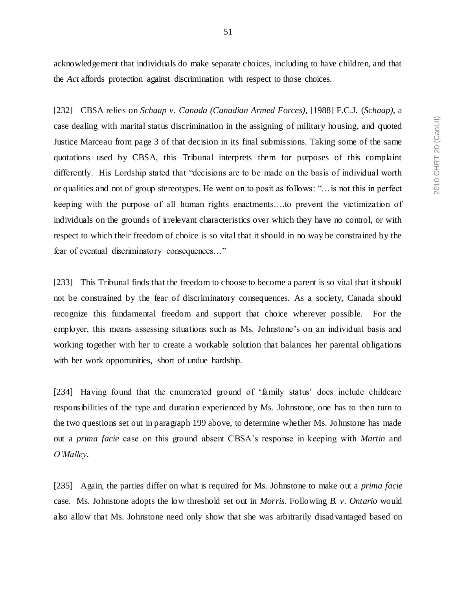acknowledgement that individuals do make separate choices, including to have children, and that the *Act* affords protection against discrimination with respect to those choices.

[232] CBSA relies on *Schaap v. Canada (Canadian Armed Forces)*, [1988] F.C.J. (*Schaap)*, a case dealing with marital status discrimination in the assigning of military housing*,* and quoted Justice Marceau from page 3 of that decision in its final submissions. Taking some of the same quotations used by CBSA, this Tribunal interprets them for purposes of this complaint differently. His Lordship stated that "decisions are to be made on the basis of individual worth or qualities and not of group stereotypes. He went on to posit as follows: "…is not this in perfect keeping with the purpose of all human rights enactments….to prevent the victimization of individuals on the grounds of irrelevant characteristics over which they have no control, or with respect to which their freedom of choice is so vital that it should in no way be constrained by the fear of eventual discriminatory consequences…"

[233] This Tribunal finds that the freedom to choose to become a parent is so vital that it should not be constrained by the fear of discriminatory consequences. As a society, Canada should recognize this fundamental freedom and support that choice wherever possible. For the employer, this means assessing situations such as Ms. Johnstone's on an individual basis and working together with her to create a workable solution that balances her parental obligations with her work opportunities, short of undue hardship.

[234] Having found that the enumerated ground of 'family status' does include childcare responsibilities of the type and duration experienced by Ms. Johnstone, one has to then turn to the two questions set out in paragraph 199 above, to determine whether Ms. Johnstone has made out a *prima facie* case on this ground absent CBSA's response in keeping with *Martin* and *O'Malley*.

[235] Again, the parties differ on what is required for Ms. Johnstone to make out a *prima facie* case. Ms. Johnstone adopts the low threshold set out in *Morris*. Following *B. v. Ontario* would also allow that Ms. Johnstone need only show that she was arbitrarily disadvantaged based on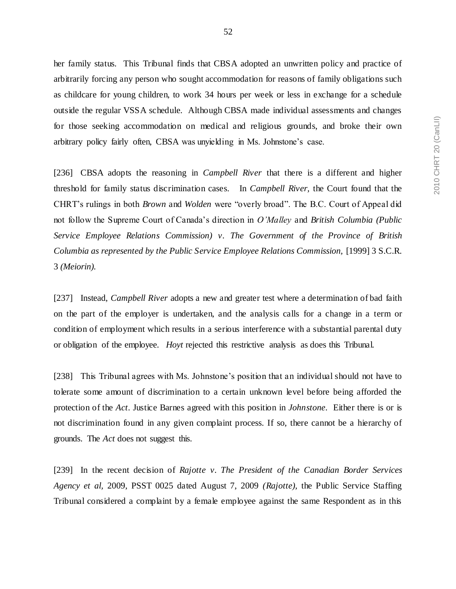her family status. This Tribunal finds that CBSA adopted an unwritten policy and practice of arbitrarily forcing any person who sought accommodation for reasons of family obligations such as childcare for young children, to work 34 hours per week or less in exchange for a schedule outside the regular VSSA schedule. Although CBSA made individual assessments and changes for those seeking accommodation on medical and religious grounds, and broke their own arbitrary policy fairly often, CBSA was unyielding in Ms. Johnstone's case.

[236] CBSA adopts the reasoning in *Campbell River* that there is a different and higher threshold for family status discrimination cases. In *Campbell River,* the Court found that the CHRT's rulings in both *Brown* and *Wolden* were "overly broad". The B.C. Court of Appeal did not follow the Supreme Court of Canada's direction in *O'Malley* and *British Columbia (Public Service Employee Relations Commission) v. The Government of the Province of British Columbia as represented by the Public Service Employee Relations Commission,* [1999] 3 S.C.R. 3 *(Meiorin).* 

[237] Instead, *Campbell River* adopts a new and greater test where a determination of bad faith on the part of the employer is undertaken, and the analysis calls for a change in a term or condition of employment which results in a serious interference with a substantial parental duty or obligation of the employee. *Hoyt* rejected this restrictive analysis as does this Tribunal.

[238] This Tribunal agrees with Ms. Johnstone's position that an individual should not have to tolerate some amount of discrimination to a certain unknown level before being afforded the protection of the *Act*. Justice Barnes agreed with this position in *Johnstone*. Either there is or is not discrimination found in any given complaint process. If so, there cannot be a hierarchy of grounds. The *Act* does not suggest this.

[239] In the recent decision of *Rajotte v. The President of the Canadian Border Services Agency et al,* 2009, PSST 0025 dated August 7, 2009 *(Rajotte),* the Public Service Staffing Tribunal considered a complaint by a female employee against the same Respondent as in this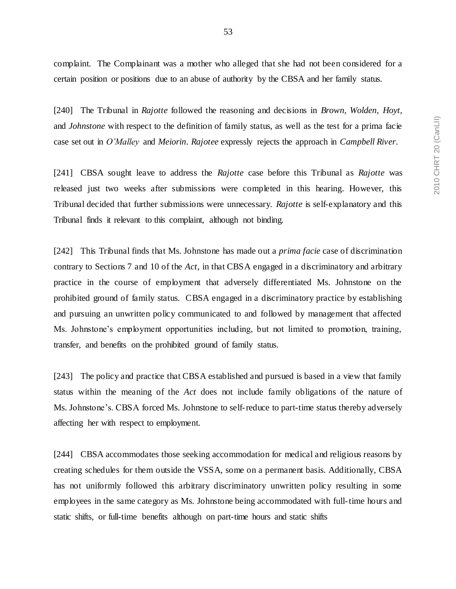complaint. The Complainant was a mother who alleged that she had not been considered for a certain position or positions due to an abuse of authority by the CBSA and her family status.

[240] The Tribunal in *Rajotte* followed the reasoning and decisions in *Brown, Wolden, Hoyt,*  and *Johnstone* with respect to the definition of family status, as well as the test for a prima facie case set out in *O'Malley* and *Meiorin*. *Rajotee* expressly rejects the approach in *Campbell River*.

[241] CBSA sought leave to address the *Rajotte* case before this Tribunal as *Rajotte* was released just two weeks after submissions were completed in this hearing. However, this Tribunal decided that further submissions were unnecessary. *Rajotte* is self-explanatory and this Tribunal finds it relevant to this complaint, although not binding.

[242] This Tribunal finds that Ms. Johnstone has made out a *prima facie* case of discrimination contrary to Sections 7 and 10 of the *Act*, in that CBSA engaged in a discriminatory and arbitrary practice in the course of employment that adversely differentiated Ms. Johnstone on the prohibited ground of family status. CBSA engaged in a discriminatory practice by establishing and pursuing an unwritten policy communicated to and followed by management that affected Ms. Johnstone's employment opportunities including, but not limited to promotion, training, transfer, and benefits on the prohibited ground of family status.

[243] The policy and practice that CBSA established and pursued is based in a view that family status within the meaning of the *Act* does not include family obligations of the nature of Ms. Johnstone's. CBSA forced Ms. Johnstone to self-reduce to part-time status thereby adversely affecting her with respect to employment.

[244] CBSA accommodates those seeking accommodation for medical and religious reasons by creating schedules for them outside the VSSA, some on a permanent basis. Additionally, CBSA has not uniformly followed this arbitrary discriminatory unwritten policy resulting in some employees in the same category as Ms. Johnstone being accommodated with full-time hours and static shifts, or full-time benefits although on part-time hours and static shifts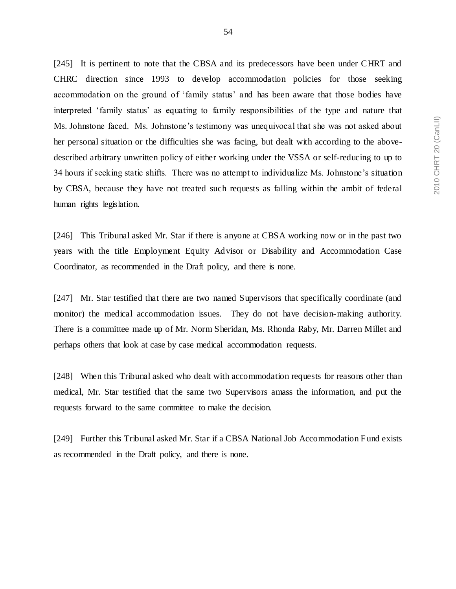[245] It is pertinent to note that the CBSA and its predecessors have been under CHRT and CHRC direction since 1993 to develop accommodation policies for those seeking accommodation on the ground of 'family status' and has been aware that those bodies have interpreted 'family status' as equating to family responsibilities of the type and nature that Ms. Johnstone faced. Ms. Johnstone's testimony was unequivocal that she was not asked about her personal situation or the difficulties she was facing, but dealt with according to the abovedescribed arbitrary unwritten policy of either working under the VSSA or self-reducing to up to 34 hours if seeking static shifts. There was no attempt to individualize Ms. Johnstone's situation by CBSA, because they have not treated such requests as falling within the ambit of federal human rights legislation.

[246] This Tribunal asked Mr. Star if there is anyone at CBSA working now or in the past two years with the title Employment Equity Advisor or Disability and Accommodation Case Coordinator, as recommended in the Draft policy, and there is none.

[247] Mr. Star testified that there are two named Supervisors that specifically coordinate (and monitor) the medical accommodation issues. They do not have decision-making authority. There is a committee made up of Mr. Norm Sheridan, Ms. Rhonda Raby, Mr. Darren Millet and perhaps others that look at case by case medical accommodation requests.

[248] When this Tribunal asked who dealt with accommodation requests for reasons other than medical, Mr. Star testified that the same two Supervisors amass the information, and put the requests forward to the same committee to make the decision.

[249] Further this Tribunal asked Mr. Star if a CBSA National Job Accommodation Fund exists as recommended in the Draft policy, and there is none.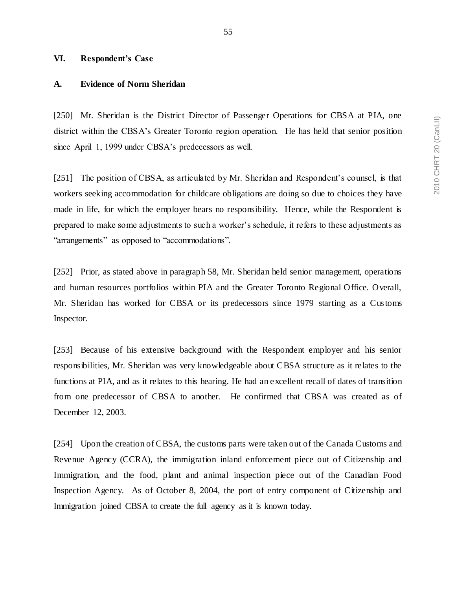### **VI. Respondent's Case**

#### **A. Evidence of Norm Sheridan**

[250] Mr. Sheridan is the District Director of Passenger Operations for CBSA at PIA, one district within the CBSA's Greater Toronto region operation. He has held that senior position since April 1, 1999 under CBSA's predecessors as well.

[251] The position of CBSA, as articulated by Mr. Sheridan and Respondent's counsel, is that workers seeking accommodation for childcare obligations are doing so due to choices they have made in life, for which the employer bears no responsibility. Hence, while the Respondent is prepared to make some adjustments to such a worker's schedule, it refers to these adjustments as "arrangements" as opposed to "accommodations".

[252] Prior, as stated above in paragraph 58, Mr. Sheridan held senior management, operations and human resources portfolios within PIA and the Greater Toronto Regional Office. Overall, Mr. Sheridan has worked for CBSA or its predecessors since 1979 starting as a Customs Inspector.

[253] Because of his extensive background with the Respondent employer and his senior responsibilities, Mr. Sheridan was very knowledgeable about CBSA structure as it relates to the functions at PIA, and as it relates to this hearing. He had an excellent recall of dates of transition from one predecessor of CBSA to another. He confirmed that CBSA was created as of December 12, 2003.

[254] Upon the creation of CBSA, the customs parts were taken out of the Canada Customs and Revenue Agency (CCRA), the immigration inland enforcement piece out of Citizenship and Immigration, and the food, plant and animal inspection piece out of the Canadian Food Inspection Agency. As of October 8, 2004, the port of entry component of Citizenship and Immigration joined CBSA to create the full agency as it is known today.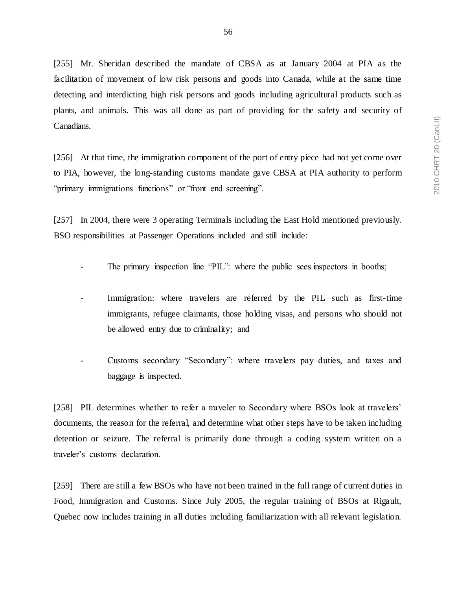[255] Mr. Sheridan described the mandate of CBSA as at January 2004 at PIA as the facilitation of movement of low risk persons and goods into Canada, while at the same time detecting and interdicting high risk persons and goods including agricultural products such as plants, and animals. This was all done as part of providing for the safety and security of Canadians.

[256] At that time, the immigration component of the port of entry piece had not yet come over to PIA, however, the long-standing customs mandate gave CBSA at PIA authority to perform "primary immigrations functions" or "front end screening".

[257] In 2004, there were 3 operating Terminals including the East Hold mentioned previously. BSO responsibilities at Passenger Operations included and still include:

- The primary inspection line "PIL": where the public sees inspectors in booths;
- Immigration: where travelers are referred by the PIL such as first-time immigrants, refugee claimants, those holding visas, and persons who should not be allowed entry due to criminality; and
- Customs secondary "Secondary": where travelers pay duties, and taxes and baggage is inspected.

[258] PIL determines whether to refer a traveler to Secondary where BSOs look at travelers' documents, the reason for the referral, and determine what other steps have to be taken including detention or seizure. The referral is primarily done through a coding system written on a traveler's customs declaration.

[259] There are still a few BSOs who have not been trained in the full range of current duties in Food, Immigration and Customs. Since July 2005, the regular training of BSOs at Rigault, Quebec now includes training in all duties including familiarization with all relevant legislation.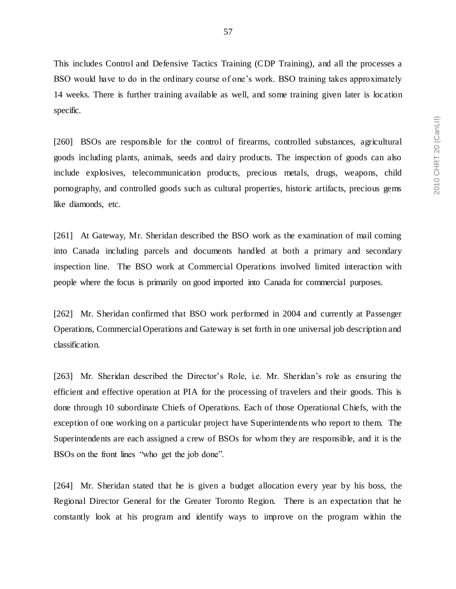This includes Control and Defensive Tactics Training (CDP Training), and all the processes a BSO would have to do in the ordinary course of one's work. BSO training takes approximately 14 weeks. There is further training available as well, and some training given later is location specific.

[260] BSOs are responsible for the control of firearms, controlled substances, agricultural goods including plants, animals, seeds and dairy products. The inspection of goods can also include explosives, telecommunication products, precious metals, drugs, weapons, child pornography, and controlled goods such as cultural properties, historic artifacts, precious gems like diamonds, etc.

[261] At Gateway, Mr. Sheridan described the BSO work as the examination of mail coming into Canada including parcels and documents handled at both a primary and secondary inspection line. The BSO work at Commercial Operations involved limited interaction with people where the focus is primarily on good imported into Canada for commercial purposes.

[262] Mr. Sheridan confirmed that BSO work performed in 2004 and currently at Passenger Operations, Commercial Operations and Gateway is set forth in one universal job description and classification.

[263] Mr. Sheridan described the Director's Role, i.e. Mr. Sheridan's role as ensuring the efficient and effective operation at PIA for the processing of travelers and their goods. This is done through 10 subordinate Chiefs of Operations. Each of those Operational Chiefs, with the exception of one working on a particular project have Superintendents who report to them. The Superintendents are each assigned a crew of BSOs for whom they are responsible, and it is the BSOs on the front lines "who get the job done".

[264] Mr. Sheridan stated that he is given a budget allocation every year by his boss, the Regional Director General for the Greater Toronto Region. There is an expectation that he constantly look at his program and identify ways to improve on the program within the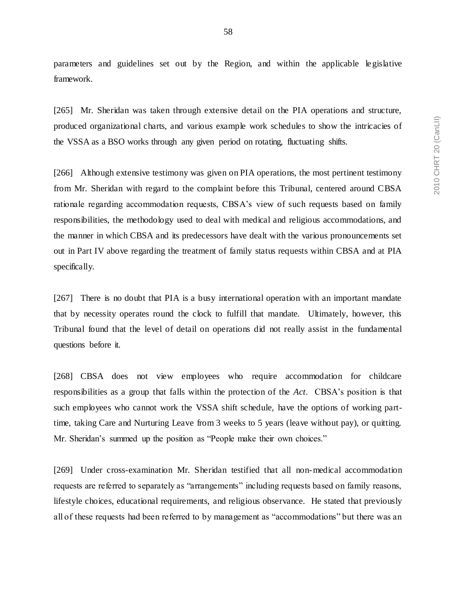parameters and guidelines set out by the Region, and within the applicable le gislative framework.

[265] Mr. Sheridan was taken through extensive detail on the PIA operations and structure, produced organizational charts, and various example work schedules to show the intricacies of the VSSA as a BSO works through any given period on rotating, fluctuating shifts.

[266] Although extensive testimony was given on PIA operations, the most pertinent testimony from Mr. Sheridan with regard to the complaint before this Tribunal, centered around CBSA rationale regarding accommodation requests, CBSA's view of such requests based on family responsibilities, the methodology used to deal with medical and religious accommodations, and the manner in which CBSA and its predecessors have dealt with the various pronouncements set out in Part IV above regarding the treatment of family status requests within CBSA and at PIA specifically.

[267] There is no doubt that PIA is a busy international operation with an important mandate that by necessity operates round the clock to fulfill that mandate. Ultimately, however, this Tribunal found that the level of detail on operations did not really assist in the fundamental questions before it.

[268] CBSA does not view employees who require accommodation for childcare responsibilities as a group that falls within the protection of the *Act*. CBSA's position is that such employees who cannot work the VSSA shift schedule, have the options of working parttime, taking Care and Nurturing Leave from 3 weeks to 5 years (leave without pay), or quitting. Mr. Sheridan's summed up the position as "People make their own choices."

[269] Under cross-examination Mr. Sheridan testified that all non-medical accommodation requests are referred to separately as "arrangements" including requests based on family reasons, lifestyle choices, educational requirements, and religious observance. He stated that previously all of these requests had been referred to by management as "accommodations" but there was an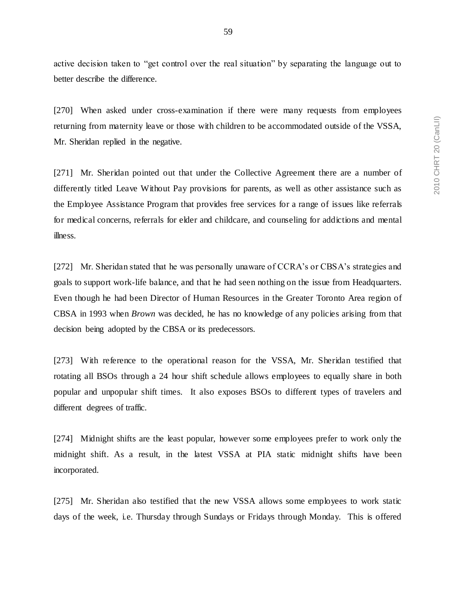active decision taken to "get control over the real situation" by separating the language out to

better describe the difference.

[270] When asked under cross-examination if there were many requests from employees returning from maternity leave or those with children to be accommodated outside of the VSSA, Mr. Sheridan replied in the negative.

[271] Mr. Sheridan pointed out that under the Collective Agreement there are a number of differently titled Leave Without Pay provisions for parents, as well as other assistance such as the Employee Assistance Program that provides free services for a range of issues like referrals for medical concerns, referrals for elder and childcare, and counseling for addictions and mental illness.

[272] Mr. Sheridan stated that he was personally unaware of CCRA's or CBSA's strategies and goals to support work-life balance, and that he had seen nothing on the issue from Headquarters. Even though he had been Director of Human Resources in the Greater Toronto Area region of CBSA in 1993 when *Brown* was decided, he has no knowledge of any policies arising from that decision being adopted by the CBSA or its predecessors.

[273] With reference to the operational reason for the VSSA, Mr. Sheridan testified that rotating all BSOs through a 24 hour shift schedule allows employees to equally share in both popular and unpopular shift times. It also exposes BSOs to different types of travelers and different degrees of traffic.

[274] Midnight shifts are the least popular, however some employees prefer to work only the midnight shift. As a result, in the latest VSSA at PIA static midnight shifts have been incorporated.

[275] Mr. Sheridan also testified that the new VSSA allows some employees to work static days of the week, i.e. Thursday through Sundays or Fridays through Monday. This is offered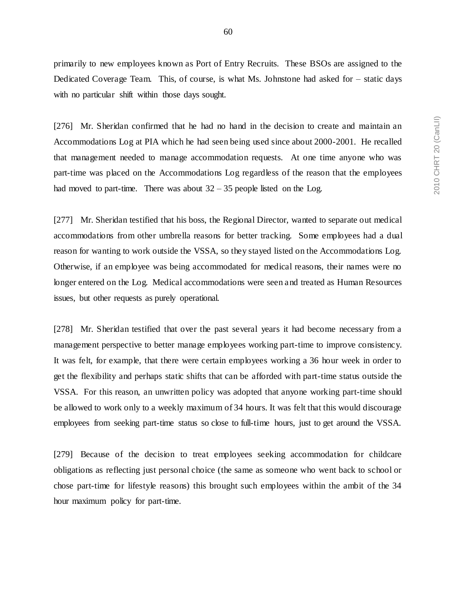primarily to new employees known as Port of Entry Recruits. These BSOs are assigned to the Dedicated Coverage Team. This, of course, is what Ms. Johnstone had asked for – static days with no particular shift within those days sought.

[276] Mr. Sheridan confirmed that he had no hand in the decision to create and maintain an Accommodations Log at PIA which he had seen being used since about 2000-2001. He recalled that management needed to manage accommodation requests. At one time anyone who was part-time was placed on the Accommodations Log regardless of the reason that the employees had moved to part-time. There was about  $32 - 35$  people listed on the Log.

[277] Mr. Sheridan testified that his boss, the Regional Director, wanted to separate out medical accommodations from other umbrella reasons for better tracking. Some employees had a dual reason for wanting to work outside the VSSA, so they stayed listed on the Accommodations Log. Otherwise, if an employee was being accommodated for medical reasons, their names were no longer entered on the Log. Medical accommodations were seen and treated as Human Resources issues, but other requests as purely operational.

[278] Mr. Sheridan testified that over the past several years it had become necessary from a management perspective to better manage employees working part-time to improve consistency. It was felt, for example, that there were certain employees working a 36 hour week in order to get the flexibility and perhaps static shifts that can be afforded with part-time status outside the VSSA. For this reason, an unwritten policy was adopted that anyone working part-time should be allowed to work only to a weekly maximum of 34 hours. It was felt that this would discourage employees from seeking part-time status so close to full-time hours, just to get around the VSSA.

[279] Because of the decision to treat employees seeking accommodation for childcare obligations as reflecting just personal choice (the same as someone who went back to school or chose part-time for lifestyle reasons) this brought such employees within the ambit of the 34 hour maximum policy for part-time.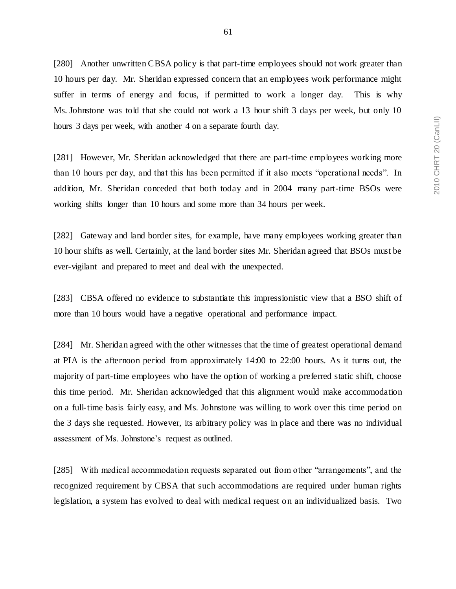[280] Another unwritten CBSA policy is that part-time employees should not work greater than 10 hours per day. Mr. Sheridan expressed concern that an employees work performance might suffer in terms of energy and focus, if permitted to work a longer day. This is why Ms. Johnstone was told that she could not work a 13 hour shift 3 days per week, but only 10 hours 3 days per week, with another 4 on a separate fourth day.

[281] However, Mr. Sheridan acknowledged that there are part-time employees working more than 10 hours per day, and that this has been permitted if it also meets "operational needs". In addition, Mr. Sheridan conceded that both today and in 2004 many part-time BSOs were working shifts longer than 10 hours and some more than 34 hours per week.

[282] Gateway and land border sites, for example, have many employees working greater than 10 hour shifts as well. Certainly, at the land border sites Mr. Sheridan agreed that BSOs must be ever-vigilant and prepared to meet and deal with the unexpected.

[283] CBSA offered no evidence to substantiate this impressionistic view that a BSO shift of more than 10 hours would have a negative operational and performance impact.

[284] Mr. Sheridan agreed with the other witnesses that the time of greatest operational demand at PIA is the afternoon period from approximately 14:00 to 22:00 hours. As it turns out, the majority of part-time employees who have the option of working a preferred static shift, choose this time period. Mr. Sheridan acknowledged that this alignment would make accommodation on a full-time basis fairly easy, and Ms. Johnstone was willing to work over this time period on the 3 days she requested. However, its arbitrary policy was in place and there was no individual assessment of Ms. Johnstone's request as outlined.

[285] With medical accommodation requests separated out from other "arrangements", and the recognized requirement by CBSA that such accommodations are required under human rights legislation, a system has evolved to deal with medical request on an individualized basis. Two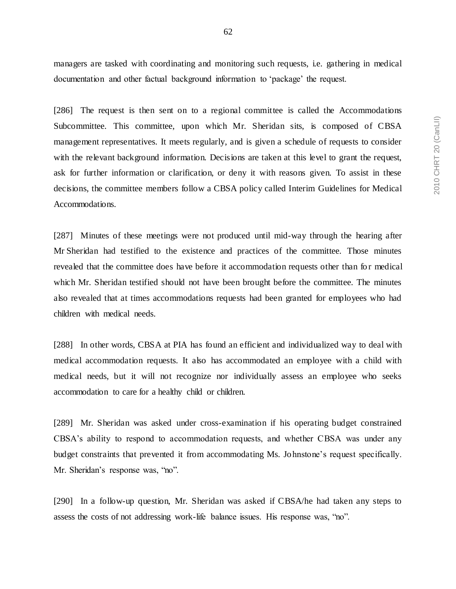managers are tasked with coordinating and monitoring such requests, i.e. gathering in medical documentation and other factual background information to 'package' the request.

[286] The request is then sent on to a regional committee is called the Accommodations Subcommittee. This committee, upon which Mr. Sheridan sits, is composed of CBSA management representatives. It meets regularly, and is given a schedule of requests to consider with the relevant background information. Decisions are taken at this level to grant the request, ask for further information or clarification, or deny it with reasons given. To assist in these decisions, the committee members follow a CBSA policy called Interim Guidelines for Medical Accommodations.

[287] Minutes of these meetings were not produced until mid-way through the hearing after Mr Sheridan had testified to the existence and practices of the committee. Those minutes revealed that the committee does have before it accommodation requests other than for medical which Mr. Sheridan testified should not have been brought before the committee. The minutes also revealed that at times accommodations requests had been granted for employees who had children with medical needs.

[288] In other words, CBSA at PIA has found an efficient and individualized way to deal with medical accommodation requests. It also has accommodated an employee with a child with medical needs, but it will not recognize nor individually assess an employee who seeks accommodation to care for a healthy child or children.

[289] Mr. Sheridan was asked under cross-examination if his operating budget constrained CBSA's ability to respond to accommodation requests, and whether CBSA was under any budget constraints that prevented it from accommodating Ms. Johnstone's request specifically. Mr. Sheridan's response was, "no".

[290] In a follow-up question, Mr. Sheridan was asked if CBSA/he had taken any steps to assess the costs of not addressing work-life balance issues. His response was, "no".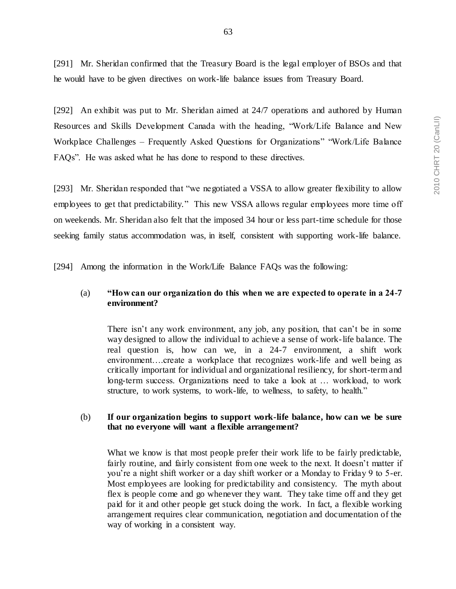[291] Mr. Sheridan confirmed that the Treasury Board is the legal employer of BSOs and that he would have to be given directives on work-life balance issues from Treasury Board.

[292] An exhibit was put to Mr. Sheridan aimed at 24/7 operations and authored by Human Resources and Skills Development Canada with the heading, "Work/Life Balance and New Workplace Challenges – Frequently Asked Questions for Organizations" "Work/Life Balance FAQs". He was asked what he has done to respond to these directives.

[293] Mr. Sheridan responded that "we negotiated a VSSA to allow greater flexibility to allow employees to get that predictability." This new VSSA allows regular employees more time off on weekends. Mr. Sheridan also felt that the imposed 34 hour or less part-time schedule for those seeking family status accommodation was, in itself, consistent with supporting work-life balance.

[294] Among the information in the Work/Life Balance FAQs was the following:

## (a) **"How can our organization do this when we are expected to operate in a 24-7 environment?**

There isn't any work environment, any job, any position, that can't be in some way designed to allow the individual to achieve a sense of work-life balance. The real question is, how can we, in a 24-7 environment, a shift work environment….create a workplace that recognizes work-life and well being as critically important for individual and organizational resiliency, for short-term and long-term success. Organizations need to take a look at … workload, to work structure, to work systems, to work-life, to wellness, to safety, to health."

## (b) **If our organization begins to support work-life balance, how can we be sure that no everyone will want a flexible arrangement?**

What we know is that most people prefer their work life to be fairly predictable, fairly routine, and fairly consistent from one week to the next. It doesn't matter if you're a night shift worker or a day shift worker or a Monday to Friday 9 to 5-er. Most employees are looking for predictability and consistency. The myth about flex is people come and go whenever they want. They take time off and they get paid for it and other people get stuck doing the work. In fact, a flexible working arrangement requires clear communication, negotiation and documentation of the way of working in a consistent way.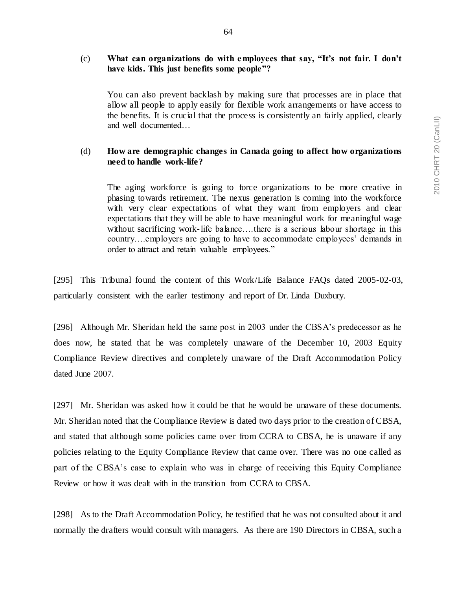64

# (c) **What can organizations do with employees that say, "It's not fair. I don't have kids. This just benefits some people"?**

You can also prevent backlash by making sure that processes are in place that allow all people to apply easily for flexible work arrangements or have access to the benefits. It is crucial that the process is consistently an fairly applied, clearly and well documented…

# (d) **How are demographic changes in Canada going to affect how organizations need to handle work-life?**

The aging workforce is going to force organizations to be more creative in phasing towards retirement. The nexus generation is coming into the workforce with very clear expectations of what they want from employers and clear expectations that they will be able to have meaningful work for meaningful wage without sacrificing work-life balance....there is a serious labour shortage in this country….employers are going to have to accommodate employees' demands in order to attract and retain valuable employees."

[295] This Tribunal found the content of this Work/Life Balance FAQs dated 2005-02-03, particularly consistent with the earlier testimony and report of Dr. Linda Duxbury.

[296] Although Mr. Sheridan held the same post in 2003 under the CBSA's predecessor as he does now, he stated that he was completely unaware of the December 10, 2003 Equity Compliance Review directives and completely unaware of the Draft Accommodation Policy dated June 2007.

[297] Mr. Sheridan was asked how it could be that he would be unaware of these documents. Mr. Sheridan noted that the Compliance Review is dated two days prior to the creation of CBSA, and stated that although some policies came over from CCRA to CBSA, he is unaware if any policies relating to the Equity Compliance Review that came over. There was no one called as part of the CBSA's case to explain who was in charge of receiving this Equity Compliance Review or how it was dealt with in the transition from CCRA to CBSA.

[298] As to the Draft Accommodation Policy, he testified that he was not consulted about it and normally the drafters would consult with managers. As there are 190 Directors in CBSA, such a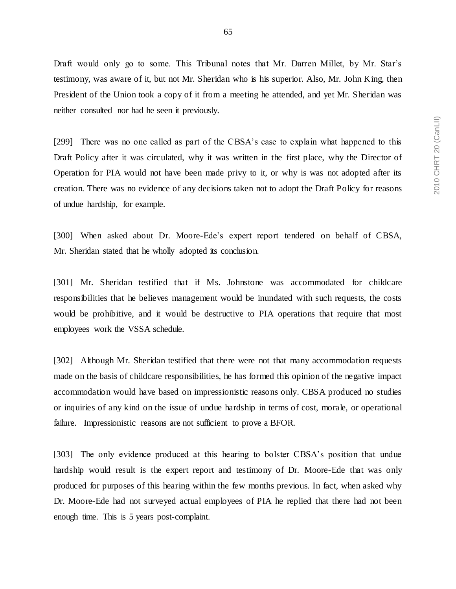Draft would only go to some. This Tribunal notes that Mr. Darren Millet, by Mr. Star's testimony, was aware of it, but not Mr. Sheridan who is his superior. Also, Mr. John King, then President of the Union took a copy of it from a meeting he attended, and yet Mr. Sheridan was neither consulted nor had he seen it previously.

[299] There was no one called as part of the CBSA's case to explain what happened to this Draft Policy after it was circulated, why it was written in the first place, why the Director of Operation for PIA would not have been made privy to it, or why is was not adopted after its creation. There was no evidence of any decisions taken not to adopt the Draft Policy for reasons of undue hardship, for example.

[300] When asked about Dr. Moore-Ede's expert report tendered on behalf of CBSA, Mr. Sheridan stated that he wholly adopted its conclusion.

[301] Mr. Sheridan testified that if Ms. Johnstone was accommodated for childcare responsibilities that he believes management would be inundated with such requests, the costs would be prohibitive, and it would be destructive to PIA operations that require that most employees work the VSSA schedule.

[302] Although Mr. Sheridan testified that there were not that many accommodation requests made on the basis of childcare responsibilities, he has formed this opinion of the negative impact accommodation would have based on impressionistic reasons only. CBSA produced no studies or inquiries of any kind on the issue of undue hardship in terms of cost, morale, or operational failure. Impressionistic reasons are not sufficient to prove a BFOR.

[303] The only evidence produced at this hearing to bolster CBSA's position that undue hardship would result is the expert report and testimony of Dr. Moore-Ede that was only produced for purposes of this hearing within the few months previous. In fact, when asked why Dr. Moore-Ede had not surveyed actual employees of PIA he replied that there had not been enough time. This is 5 years post-complaint.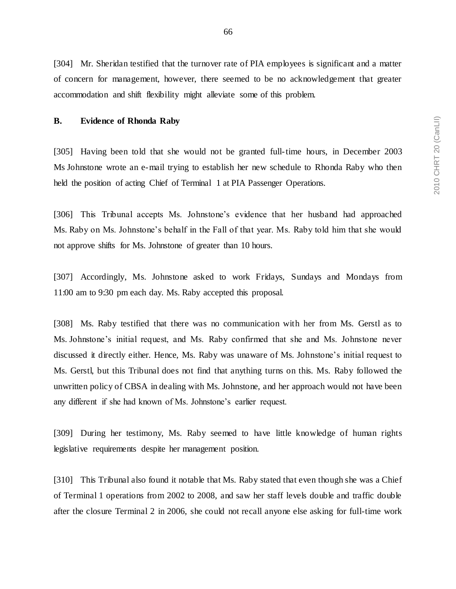[304] Mr. Sheridan testified that the turnover rate of PIA employees is significant and a matter of concern for management, however, there seemed to be no acknowledgement that greater accommodation and shift flexibility might alleviate some of this problem.

### **B. Evidence of Rhonda Raby**

[305] Having been told that she would not be granted full-time hours, in December 2003 Ms Johnstone wrote an e-mail trying to establish her new schedule to Rhonda Raby who then held the position of acting Chief of Terminal 1 at PIA Passenger Operations.

[306] This Tribunal accepts Ms. Johnstone's evidence that her husband had approached Ms. Raby on Ms. Johnstone's behalf in the Fall of that year. Ms. Raby told him that she would not approve shifts for Ms. Johnstone of greater than 10 hours.

[307] Accordingly, Ms. Johnstone asked to work Fridays, Sundays and Mondays from 11:00 am to 9:30 pm each day. Ms. Raby accepted this proposal.

[308] Ms. Raby testified that there was no communication with her from Ms. Gerstl as to Ms. Johnstone's initial request, and Ms. Raby confirmed that she and Ms. Johnstone never discussed it directly either. Hence, Ms. Raby was unaware of Ms. Johnstone's initial request to Ms. Gerstl, but this Tribunal does not find that anything turns on this. Ms. Raby followed the unwritten policy of CBSA in dealing with Ms. Johnstone, and her approach would not have been any different if she had known of Ms. Johnstone's earlier request.

[309] During her testimony, Ms. Raby seemed to have little knowledge of human rights legislative requirements despite her management position.

[310] This Tribunal also found it notable that Ms. Raby stated that even though she was a Chief of Terminal 1 operations from 2002 to 2008, and saw her staff levels double and traffic double after the closure Terminal 2 in 2006, she could not recall anyone else asking for full-time work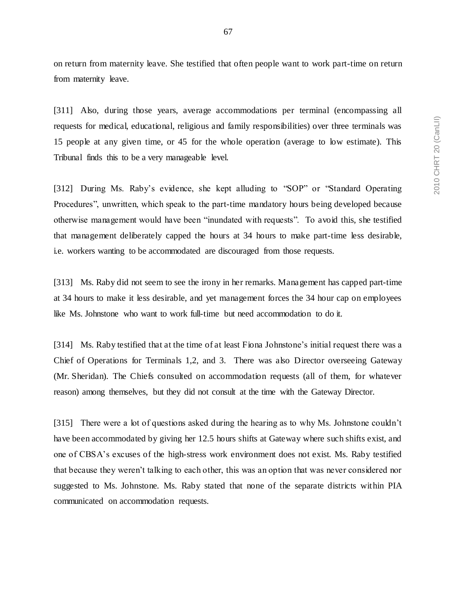on return from maternity leave. She testified that often people want to work part-time on return from maternity leave.

[311] Also, during those years, average accommodations per terminal (encompassing all requests for medical, educational, religious and family responsibilities) over three terminals was 15 people at any given time, or 45 for the whole operation (average to low estimate). This Tribunal finds this to be a very manageable level.

[312] During Ms. Raby's evidence, she kept alluding to "SOP" or "Standard Operating Procedures", unwritten, which speak to the part-time mandatory hours being developed because otherwise management would have been "inundated with requests". To avoid this, she testified that management deliberately capped the hours at 34 hours to make part-time less desirable, i.e. workers wanting to be accommodated are discouraged from those requests.

[313] Ms. Raby did not seem to see the irony in her remarks. Management has capped part-time at 34 hours to make it less desirable, and yet management forces the 34 hour cap on employees like Ms. Johnstone who want to work full-time but need accommodation to do it.

[314] Ms. Raby testified that at the time of at least Fiona Johnstone's initial request there was a Chief of Operations for Terminals 1,2, and 3. There was also Director overseeing Gateway (Mr. Sheridan). The Chiefs consulted on accommodation requests (all of them, for whatever reason) among themselves, but they did not consult at the time with the Gateway Director.

[315] There were a lot of questions asked during the hearing as to why Ms. Johnstone couldn't have been accommodated by giving her 12.5 hours shifts at Gateway where such shifts exist, and one of CBSA's excuses of the high-stress work environment does not exist. Ms. Raby testified that because they weren't talking to each other, this was an option that was never considered nor suggested to Ms. Johnstone. Ms. Raby stated that none of the separate districts within PIA communicated on accommodation requests.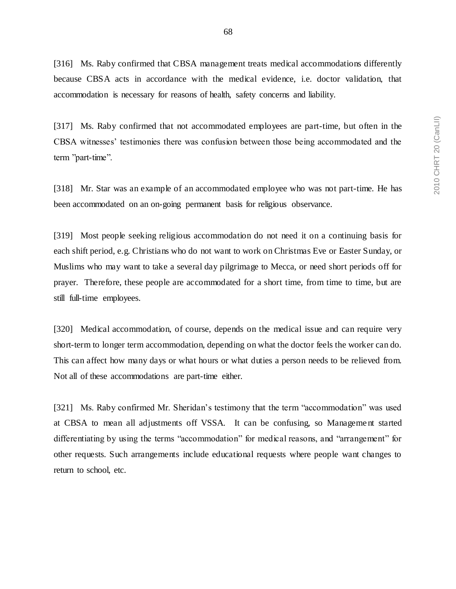[316] Ms. Raby confirmed that CBSA management treats medical accommodations differently because CBSA acts in accordance with the medical evidence, i.e. doctor validation, that accommodation is necessary for reasons of health, safety concerns and liability.

[317] Ms. Raby confirmed that not accommodated employees are part-time, but often in the CBSA witnesses' testimonies there was confusion between those being accommodated and the term "part-time".

[318] Mr. Star was an example of an accommodated employee who was not part-time. He has been accommodated on an on-going permanent basis for religious observance.

[319] Most people seeking religious accommodation do not need it on a continuing basis for each shift period, e.g. Christians who do not want to work on Christmas Eve or Easter Sunday, or Muslims who may want to take a several day pilgrimage to Mecca, or need short periods off for prayer. Therefore, these people are accommodated for a short time, from time to time, but are still full-time employees.

[320] Medical accommodation, of course, depends on the medical issue and can require very short-term to longer term accommodation, depending on what the doctor feels the worker can do. This can affect how many days or what hours or what duties a person needs to be relieved from. Not all of these accommodations are part-time either.

[321] Ms. Raby confirmed Mr. Sheridan's testimony that the term "accommodation" was used at CBSA to mean all adjustments off VSSA. It can be confusing, so Manageme nt started differentiating by using the terms "accommodation" for medical reasons, and "arrangement" for other requests. Such arrangements include educational requests where people want changes to return to school, etc.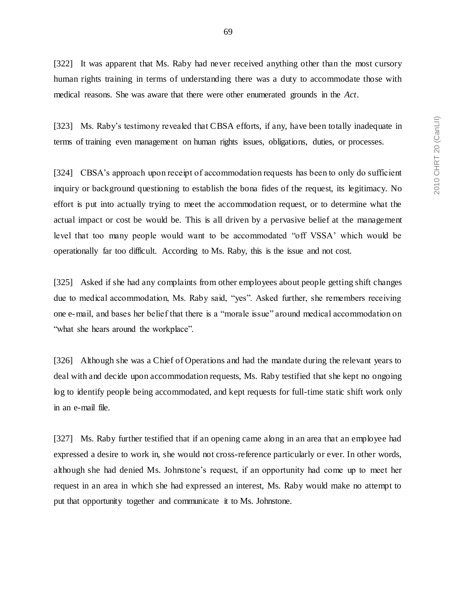69

[322] It was apparent that Ms. Raby had never received anything other than the most cursory human rights training in terms of understanding there was a duty to accommodate those with medical reasons. She was aware that there were other enumerated grounds in the *Act*.

[323] Ms. Raby's testimony revealed that CBSA efforts, if any, have been totally inadequate in terms of training even management on human rights issues, obligations, duties, or processes.

[324] CBSA's approach upon receipt of accommodation requests has been to only do sufficient inquiry or background questioning to establish the bona fides of the request, its legitimacy. No effort is put into actually trying to meet the accommodation request, or to determine what the actual impact or cost be would be. This is all driven by a pervasive belief at the management level that too many people would want to be accommodated "off VSSA' which would be operationally far too difficult. According to Ms. Raby, this is the issue and not cost.

[325] Asked if she had any complaints from other employees about people getting shift changes due to medical accommodation, Ms. Raby said, "yes". Asked further, she remembers receiving one e-mail, and bases her belief that there is a "morale issue" around medical accommodation on "what she hears around the workplace".

[326] Although she was a Chief of Operations and had the mandate during the relevant years to deal with and decide upon accommodation requests, Ms. Raby testified that she kept no ongoing log to identify people being accommodated, and kept requests for full-time static shift work only in an e-mail file.

[327] Ms. Raby further testified that if an opening came along in an area that an employee had expressed a desire to work in, she would not cross-reference particularly or ever. In other words, although she had denied Ms. Johnstone's request, if an opportunity had come up to meet her request in an area in which she had expressed an interest, Ms. Raby would make no attempt to put that opportunity together and communicate it to Ms. Johnstone.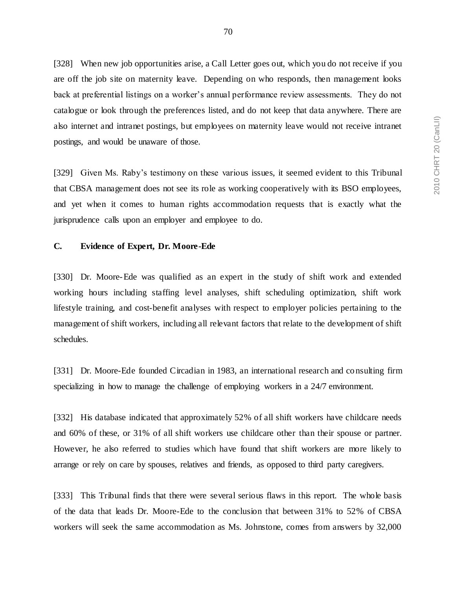[328] When new job opportunities arise, a Call Letter goes out, which you do not receive if you are off the job site on maternity leave. Depending on who responds, then management looks back at preferential listings on a worker's annual performance review assessments. They do not catalogue or look through the preferences listed, and do not keep that data anywhere. There are also internet and intranet postings, but employees on maternity leave would not receive intranet postings, and would be unaware of those.

[329] Given Ms. Raby's testimony on these various issues, it seemed evident to this Tribunal that CBSA management does not see its role as working cooperatively with its BSO employees, and yet when it comes to human rights accommodation requests that is exactly what the jurisprudence calls upon an employer and employee to do.

### **C. Evidence of Expert, Dr. Moore-Ede**

[330] Dr. Moore-Ede was qualified as an expert in the study of shift work and extended working hours including staffing level analyses, shift scheduling optimization, shift work lifestyle training, and cost-benefit analyses with respect to employer policies pertaining to the management of shift workers, including all relevant factors that relate to the development of shift schedules.

[331] Dr. Moore-Ede founded Circadian in 1983, an international research and consulting firm specializing in how to manage the challenge of employing workers in a 24/7 environment.

[332] His database indicated that approximately 52% of all shift workers have childcare needs and 60% of these, or 31% of all shift workers use childcare other than their spouse or partner. However, he also referred to studies which have found that shift workers are more likely to arrange or rely on care by spouses, relatives and friends, as opposed to third party caregivers.

[333] This Tribunal finds that there were several serious flaws in this report. The whole basis of the data that leads Dr. Moore-Ede to the conclusion that between 31% to 52% of CBSA workers will seek the same accommodation as Ms. Johnstone, comes from answers by 32,000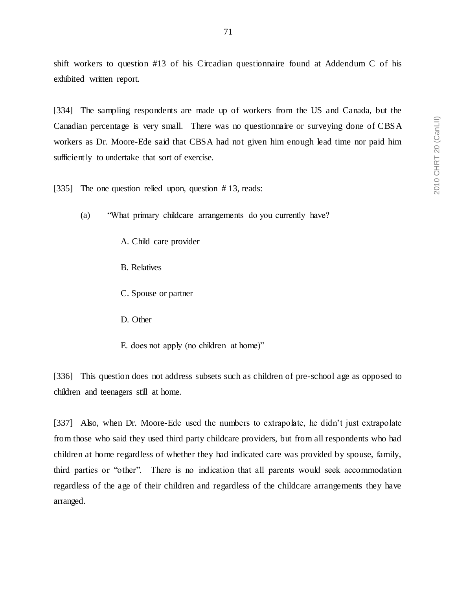shift workers to question #13 of his Circadian questionnaire found at Addendum C of his exhibited written report.

[334] The sampling respondents are made up of workers from the US and Canada, but the Canadian percentage is very small. There was no questionnaire or surveying done of CBSA workers as Dr. Moore-Ede said that CBSA had not given him enough lead time nor paid him sufficiently to undertake that sort of exercise.

[335] The one question relied upon, question #13, reads:

(a) "What primary childcare arrangements do you currently have?

A. Child care provider

- B. Relatives
- C. Spouse or partner
- D. Other
- E. does not apply (no children at home)"

[336] This question does not address subsets such as children of pre-school age as opposed to children and teenagers still at home.

[337] Also, when Dr. Moore-Ede used the numbers to extrapolate, he didn't just extrapolate from those who said they used third party childcare providers, but from all respondents who had children at home regardless of whether they had indicated care was provided by spouse, family, third parties or "other". There is no indication that all parents would seek accommodation regardless of the age of their children and regardless of the childcare arrangements they have arranged.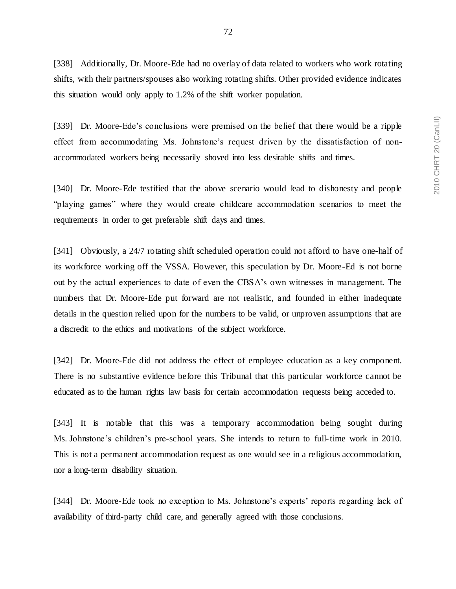[338] Additionally, Dr. Moore-Ede had no overlay of data related to workers who work rotating shifts, with their partners/spouses also working rotating shifts. Other provided evidence indicates this situation would only apply to 1.2% of the shift worker population.

[339] Dr. Moore-Ede's conclusions were premised on the belief that there would be a ripple effect from accommodating Ms. Johnstone's request driven by the dissatisfaction of nonaccommodated workers being necessarily shoved into less desirable shifts and times.

[340] Dr. Moore-Ede testified that the above scenario would lead to dishonesty and people "playing games" where they would create childcare accommodation scenarios to meet the requirements in order to get preferable shift days and times.

[341] Obviously, a 24/7 rotating shift scheduled operation could not afford to have one-half of its workforce working off the VSSA. However, this speculation by Dr. Moore-Ed is not borne out by the actual experiences to date of even the CBSA's own witnesses in management. The numbers that Dr. Moore-Ede put forward are not realistic, and founded in either inadequate details in the question relied upon for the numbers to be valid, or unproven assumptions that are a discredit to the ethics and motivations of the subject workforce.

[342] Dr. Moore-Ede did not address the effect of employee education as a key component. There is no substantive evidence before this Tribunal that this particular workforce cannot be educated as to the human rights law basis for certain accommodation requests being acceded to.

[343] It is notable that this was a temporary accommodation being sought during Ms. Johnstone's children's pre-school years. She intends to return to full-time work in 2010. This is not a permanent accommodation request as one would see in a religious accommodation, nor a long-term disability situation.

[344] Dr. Moore-Ede took no exception to Ms. Johnstone's experts' reports regarding lack of availability of third-party child care, and generally agreed with those conclusions.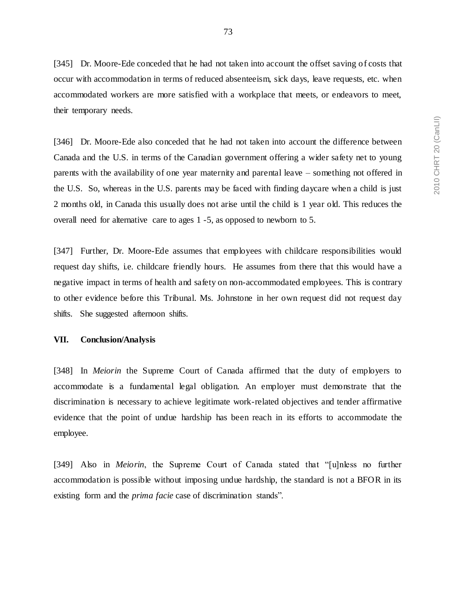[345] Dr. Moore-Ede conceded that he had not taken into account the offset saving of costs that occur with accommodation in terms of reduced absenteeism, sick days, leave requests, etc. when accommodated workers are more satisfied with a workplace that meets, or endeavors to meet, their temporary needs.

[346] Dr. Moore-Ede also conceded that he had not taken into account the difference between Canada and the U.S. in terms of the Canadian government offering a wider safety net to young parents with the availability of one year maternity and parental leave – something not offered in the U.S. So, whereas in the U.S. parents may be faced with finding daycare when a child is just 2 months old, in Canada this usually does not arise until the child is 1 year old. This reduces the overall need for alternative care to ages 1 -5, as opposed to newborn to 5.

[347] Further, Dr. Moore-Ede assumes that employees with childcare responsibilities would request day shifts, i.e. childcare friendly hours. He assumes from there that this would have a negative impact in terms of health and safety on non-accommodated employees. This is contrary to other evidence before this Tribunal. Ms. Johnstone in her own request did not request day shifts. She suggested afternoon shifts.

### **VII. Conclusion/Analysis**

[348] In *Meiorin* the Supreme Court of Canada affirmed that the duty of employers to accommodate is a fundamental legal obligation. An employer must demonstrate that the discrimination is necessary to achieve legitimate work-related objectives and tender affirmative evidence that the point of undue hardship has been reach in its efforts to accommodate the employee.

[349] Also in *Meiorin*, the Supreme Court of Canada stated that "[u]nless no further accommodation is possible without imposing undue hardship, the standard is not a BFOR in its existing form and the *prima facie* case of discrimination stands".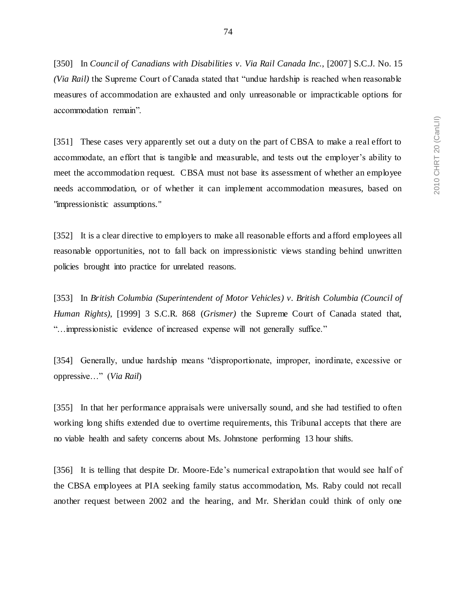[350] In *Council of Canadians with Disabilities v. Via Rail Canada Inc.*, [2007] S.C.J. No. 15 *(Via Rail)* the Supreme Court of Canada stated that "undue hardship is reached when reasonable measures of accommodation are exhausted and only unreasonable or impracticable options for accommodation remain".

[351] These cases very apparently set out a duty on the part of CBSA to make a real effort to accommodate, an effort that is tangible and measurable, and tests out the employer's ability to meet the accommodation request. CBSA must not base its assessment of whether an employee needs accommodation, or of whether it can implement accommodation measures, based on "impressionistic assumptions."

[352] It is a clear directive to employers to make all reasonable efforts and a fford employees all reasonable opportunities, not to fall back on impressionistic views standing behind unwritten policies brought into practice for unrelated reasons.

[353] In *British Columbia (Superintendent of Motor Vehicles) v. British Columbia (Council of Human Rights)*, [1999] 3 S.C.R. 868 (*Grismer)* the Supreme Court of Canada stated that, "…impressionistic evidence of increased expense will not generally suffice."

[354] Generally, undue hardship means "disproportionate, improper, inordinate, excessive or oppressive…" (*Via Rail*)

[355] In that her performance appraisals were universally sound, and she had testified to often working long shifts extended due to overtime requirements, this Tribunal accepts that there are no viable health and safety concerns about Ms. Johnstone performing 13 hour shifts.

[356] It is telling that despite Dr. Moore-Ede's numerical extrapolation that would see half of the CBSA employees at PIA seeking family status accommodation, Ms. Raby could not recall another request between 2002 and the hearing, and Mr. Sheridan could think of only one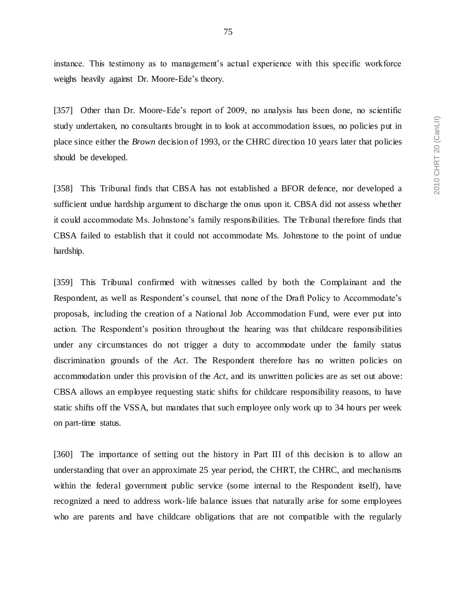instance. This testimony as to management's actual experience with this specific workforce weighs heavily against Dr. Moore-Ede's theory.

[357] Other than Dr. Moore-Ede's report of 2009, no analysis has been done, no scientific study undertaken, no consultants brought in to look at accommodation issues, no policies put in place since either the *Brown* decision of 1993, or the CHRC direction 10 years later that policies should be developed.

[358] This Tribunal finds that CBSA has not established a BFOR defence, nor developed a sufficient undue hardship argument to discharge the onus upon it. CBSA did not assess whether it could accommodate Ms. Johnstone's family responsibilities. The Tribunal therefore finds that CBSA failed to establish that it could not accommodate Ms. Johnstone to the point of undue hardship.

[359] This Tribunal confirmed with witnesses called by both the Complainant and the Respondent, as well as Respondent's counsel, that none of the Draft Policy to Accommodate's proposals, including the creation of a National Job Accommodation Fund, were ever put into action. The Respondent's position throughout the hearing was that childcare responsibilities under any circumstances do not trigger a duty to accommodate under the family status discrimination grounds of the *Act*. The Respondent therefore has no written policies on accommodation under this provision of the *Act*, and its unwritten policies are as set out above: CBSA allows an employee requesting static shifts for childcare responsibility reasons, to have static shifts off the VSSA, but mandates that such employee only work up to 34 hours per week on part-time status.

[360] The importance of setting out the history in Part III of this decision is to allow an understanding that over an approximate 25 year period, the CHRT, the CHRC, and mechanisms within the federal government public service (some internal to the Respondent itself), have recognized a need to address work-life balance issues that naturally arise for some employees who are parents and have childcare obligations that are not compatible with the regularly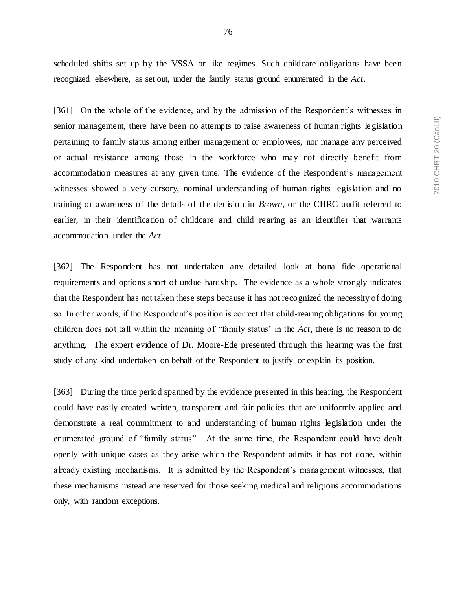scheduled shifts set up by the VSSA or like regimes. Such childcare obligations have been recognized elsewhere, as set out, under the family status ground enumerated in the *Act*.

[361] On the whole of the evidence, and by the admission of the Respondent's witnesses in senior management, there have been no attempts to raise awareness of human rights le gislation pertaining to family status among either management or employees, nor manage any perceived or actual resistance among those in the workforce who may not directly benefit from accommodation measures at any given time. The evidence of the Respondent's management witnesses showed a very cursory, nominal understanding of human rights legislation and no training or awareness of the details of the decision in *Brown,* or the CHRC audit referred to earlier, in their identification of childcare and child rearing as an identifier that warrants accommodation under the *Act*.

[362] The Respondent has not undertaken any detailed look at bona fide operational requirements and options short of undue hardship. The evidence as a whole strongly indicates that the Respondent has not taken these steps because it has not recognized the necessity of doing so. In other words, if the Respondent's position is correct that child-rearing obligations for young children does not fall within the meaning of "family status' in the *Act*, there is no reason to do anything. The expert evidence of Dr. Moore-Ede presented through this hearing was the first study of any kind undertaken on behalf of the Respondent to justify or explain its position.

[363] During the time period spanned by the evidence presented in this hearing, the Respondent could have easily created written, transparent and fair policies that are uniformly applied and demonstrate a real commitment to and understanding of human rights legislation under the enumerated ground of "family status". At the same time, the Respondent could have dealt openly with unique cases as they arise which the Respondent admits it has not done, within already existing mechanisms. It is admitted by the Respondent's management witnesses, that these mechanisms instead are reserved for those seeking medical and religious accommodations only, with random exceptions.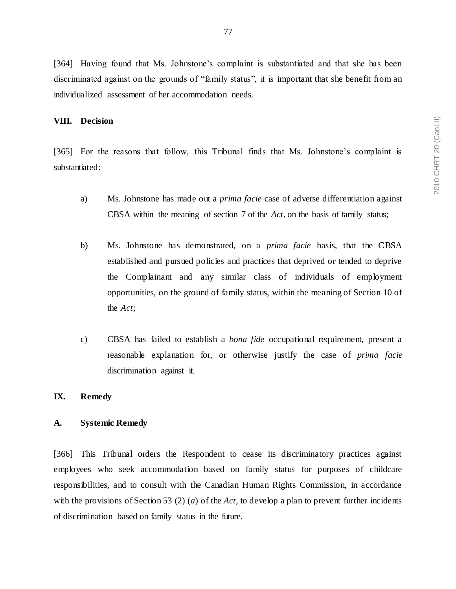### **VIII. Decision**

[365] For the reasons that follow, this Tribunal finds that Ms. Johnstone's complaint is substantiated:

- a) Ms. Johnstone has made out a *prima facie* case of adverse differentiation against CBSA within the meaning of section 7 of the *Act*, on the basis of family status;
- b) Ms. Johnstone has demonstrated, on a *prima facie* basis, that the CBSA established and pursued policies and practices that deprived or tended to deprive the Complainant and any similar class of individuals of employment opportunities, on the ground of family status, within the meaning of Section 10 of the *Act*;
- c) CBSA has failed to establish a *bona fide* occupational requirement, present a reasonable explanation for, or otherwise justify the case of *prima facie* discrimination against it.

## **IX. Remedy**

#### **A. Systemic Remedy**

[366] This Tribunal orders the Respondent to cease its discriminatory practices against employees who seek accommodation based on family status for purposes of childcare responsibilities, and to consult with the Canadian Human Rights Commission, in accordance with the provisions of Section 53 (2) (*a*) of the *Act,* to develop a plan to prevent further incidents of discrimination based on family status in the future.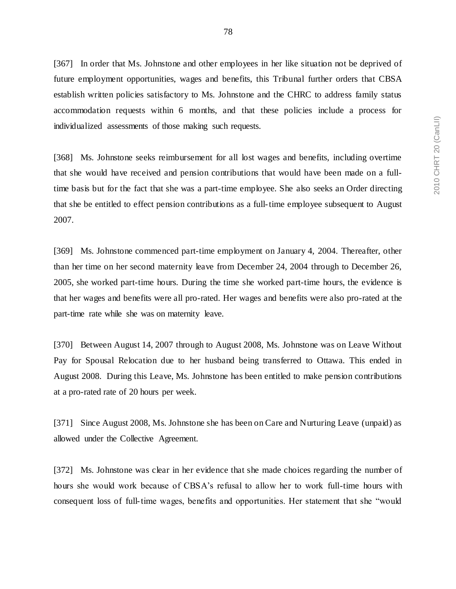[367] In order that Ms. Johnstone and other employees in her like situation not be deprived of future employment opportunities, wages and benefits, this Tribunal further orders that CBSA establish written policies satisfactory to Ms. Johnstone and the CHRC to address family status accommodation requests within 6 months, and that these policies include a process for individualized assessments of those making such requests.

[368] Ms. Johnstone seeks reimbursement for all lost wages and benefits, including overtime that she would have received and pension contributions that would have been made on a fulltime basis but for the fact that she was a part-time employee. She also seeks an Order directing that she be entitled to effect pension contributions as a full-time employee subsequent to August 2007.

[369] Ms. Johnstone commenced part-time employment on January 4, 2004. Thereafter, other than her time on her second maternity leave from December 24, 2004 through to December 26, 2005, she worked part-time hours. During the time she worked part-time hours, the evidence is that her wages and benefits were all pro-rated. Her wages and benefits were also pro-rated at the part-time rate while she was on maternity leave.

[370] Between August 14, 2007 through to August 2008, Ms. Johnstone was on Leave Without Pay for Spousal Relocation due to her husband being transferred to Ottawa. This ended in August 2008. During this Leave, Ms. Johnstone has been entitled to make pension contributions at a pro-rated rate of 20 hours per week.

[371] Since August 2008, Ms. Johnstone she has been on Care and Nurturing Leave (unpaid) as allowed under the Collective Agreement.

[372] Ms. Johnstone was clear in her evidence that she made choices regarding the number of hours she would work because of CBSA's refusal to allow her to work full-time hours with consequent loss of full-time wages, benefits and opportunities. Her statement that she "would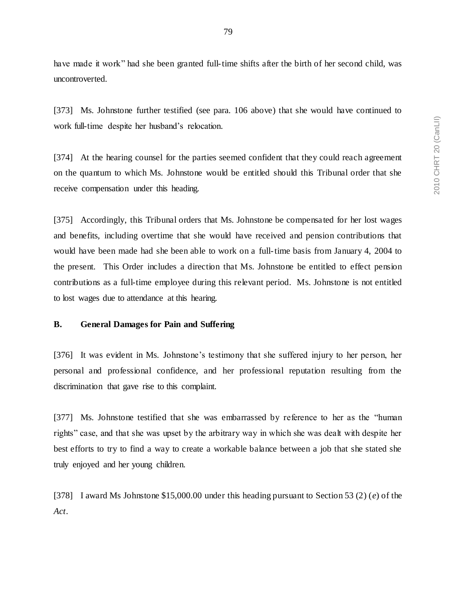have made it work" had she been granted full-time shifts after the birth of her second child, was uncontroverted.

[373] Ms. Johnstone further testified (see para. 106 above) that she would have continued to work full-time despite her husband's relocation.

[374] At the hearing counsel for the parties seemed confident that they could reach agreement on the quantum to which Ms. Johnstone would be entitled should this Tribunal order that she receive compensation under this heading.

[375] Accordingly, this Tribunal orders that Ms. Johnstone be compensated for her lost wages and benefits, including overtime that she would have received and pension contributions that would have been made had she been able to work on a full-time basis from January 4, 2004 to the present. This Order includes a direction that Ms. Johnstone be entitled to effect pension contributions as a full-time employee during this relevant period. Ms. Johnstone is not entitled to lost wages due to attendance at this hearing.

### **B. General Damages for Pain and Suffering**

[376] It was evident in Ms. Johnstone's testimony that she suffered injury to her person, her personal and professional confidence, and her professional reputation resulting from the discrimination that gave rise to this complaint.

[377] Ms. Johnstone testified that she was embarrassed by reference to her as the "human rights" case, and that she was upset by the arbitrary way in which she was dealt with despite her best efforts to try to find a way to create a workable balance between a job that she stated she truly enjoyed and her young children.

[378] I award Ms Johnstone \$15,000.00 under this heading pursuant to Section 53 (2) (*e*) of the *Act*.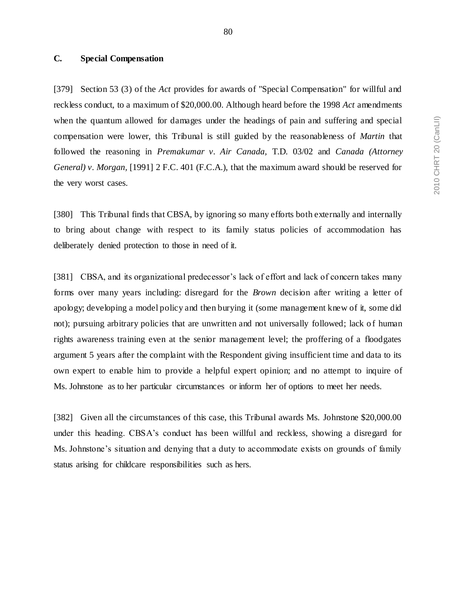### **C. Special Compensation**

[379] Section 53 (3) of the *Act* provides for awards of "Special Compensation" for willful and reckless conduct, to a maximum of \$20,000.00. Although heard before the 1998 *Act* amendments when the quantum allowed for damages under the headings of pain and suffering and special compensation were lower, this Tribunal is still guided by the reasonableness of *Martin* that followed the reasoning in *Premakumar v. Air Canada,* T.D. 03/02 and *Canada (Attorney General) v. Morgan,* [1991] 2 F.C. 401 (F.C.A.), that the maximum award should be reserved for the very worst cases.

[380] This Tribunal finds that CBSA, by ignoring so many efforts both externally and internally to bring about change with respect to its family status policies of accommodation has deliberately denied protection to those in need of it.

[381] CBSA, and its organizational predecessor's lack of effort and lack of concern takes many forms over many years including: disregard for the *Brown* decision after writing a letter of apology; developing a model policy and then burying it (some management knew of it, some did not); pursuing arbitrary policies that are unwritten and not universally followed; lack o f human rights awareness training even at the senior management level; the proffering of a floodgates argument 5 years after the complaint with the Respondent giving insufficient time and data to its own expert to enable him to provide a helpful expert opinion; and no attempt to inquire of Ms. Johnstone as to her particular circumstances or inform her of options to meet her needs.

[382] Given all the circumstances of this case, this Tribunal awards Ms. Johnstone \$20,000.00 under this heading. CBSA's conduct has been willful and reckless, showing a disregard for Ms. Johnstone's situation and denying that a duty to accommodate exists on grounds of family status arising for childcare responsibilities such as hers.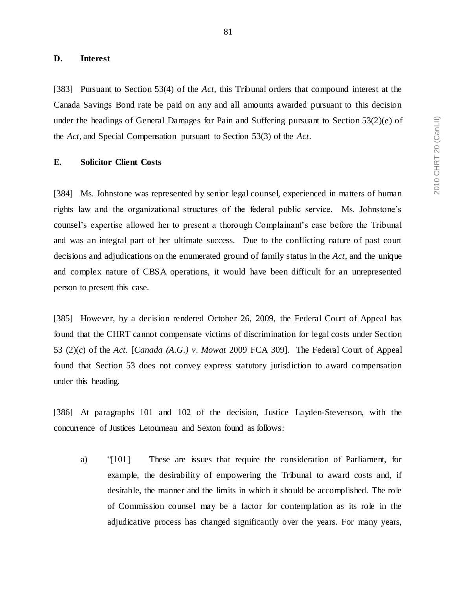### **D. Interest**

[383] Pursuant to Section 53(4) of the *Act*, this Tribunal orders that compound interest at the Canada Savings Bond rate be paid on any and all amounts awarded pursuant to this decision under the headings of General Damages for Pain and Suffering pursuant to Section 53(2)(*e*) of the *Act*, and Special Compensation pursuant to Section 53(3) of the *Act*.

### **E. Solicitor Client Costs**

[384] Ms. Johnstone was represented by senior legal counsel, experienced in matters of human rights law and the organizational structures of the federal public service. Ms. Johnstone's counsel's expertise allowed her to present a thorough Complainant's case before the Tribunal and was an integral part of her ultimate success. Due to the conflicting nature of past court decisions and adjudications on the enumerated ground of family status in the *Act*, and the unique and complex nature of CBSA operations, it would have been difficult for an unrepresented person to present this case.

[385] However, by a decision rendered October 26, 2009, the Federal Court of Appeal has found that the CHRT cannot compensate victims of discrimination for legal costs under Section 53 (2)(*c*) of the *Act.* [*Canada (A.G.) v. Mowat* 2009 FCA 309]. The Federal Court of Appeal found that Section 53 does not convey express statutory jurisdiction to award compensation under this heading.

[386] At paragraphs 101 and 102 of the decision, Justice Layden-Stevenson, with the concurrence of Justices Letourneau and Sexton found as follows:

a) "[101] These are issues that require the consideration of Parliament, for example, the desirability of empowering the Tribunal to award costs and, if desirable, the manner and the limits in which it should be accomplished. The role of Commission counsel may be a factor for contemplation as its role in the adjudicative process has changed significantly over the years. For many years,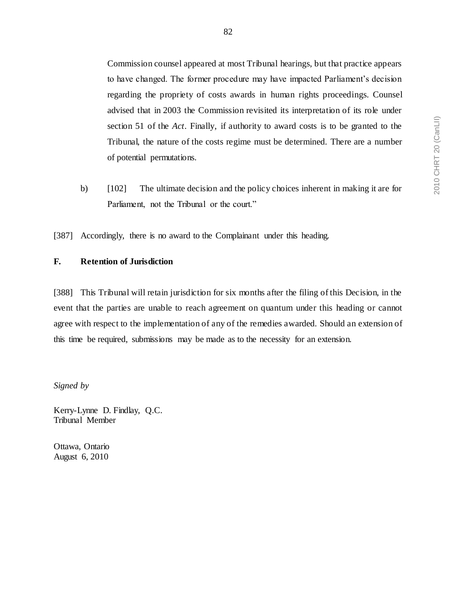Commission counsel appeared at most Tribunal hearings, but that practice appears to have changed. The former procedure may have impacted Parliament's decision regarding the propriety of costs awards in human rights proceedings. Counsel advised that in 2003 the Commission revisited its interpretation of its role under section 51 of the *Act*. Finally, if authority to award costs is to be granted to the Tribunal, the nature of the costs regime must be determined. There are a number of potential permutations.

b) [102] The ultimate decision and the policy choices inherent in making it are for Parliament, not the Tribunal or the court."

[387] Accordingly, there is no award to the Complainant under this heading.

# **F. Retention of Jurisdiction**

[388] This Tribunal will retain jurisdiction for six months after the filing of this Decision, in the event that the parties are unable to reach agreement on quantum under this heading or cannot agree with respect to the implementation of any of the remedies awarded. Should an extension of this time be required, submissions may be made as to the necessity for an extension.

*Signed by*

Kerry-Lynne D. Findlay, Q.C. Tribunal Member

Ottawa, Ontario August 6, 2010